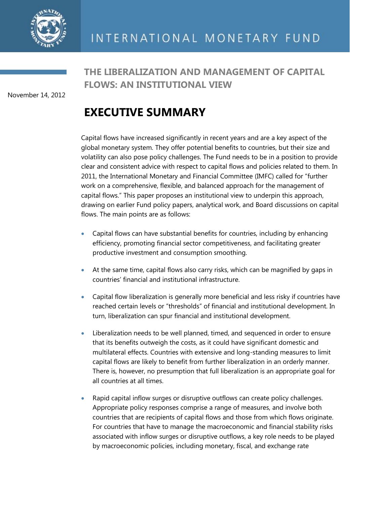

November 14, 2012

# **THE LIBERALIZATION AND MANAGEMENT OF CAPITAL FLOWS: AN INSTITUTIONAL VIEW**

# **EXECUTIVE SUMMARY**

Capital flows have increased significantly in recent years and are a key aspect of the global monetary system. They offer potential benefits to countries, but their size and volatility can also pose policy challenges. The Fund needs to be in a position to provide clear and consistent advice with respect to capital flows and policies related to them. In 2011, the International Monetary and Financial Committee (IMFC) called for "further work on a comprehensive, flexible, and balanced approach for the management of capital flows.‖ This paper proposes an institutional view to underpin this approach, drawing on earlier Fund policy papers, analytical work, and Board discussions on capital flows. The main points are as follows:

- Capital flows can have substantial benefits for countries, including by enhancing efficiency, promoting financial sector competitiveness, and facilitating greater productive investment and consumption smoothing.
- At the same time, capital flows also carry risks, which can be magnified by gaps in countries' financial and institutional infrastructure.
- Capital flow liberalization is generally more beneficial and less risky if countries have reached certain levels or "thresholds" of financial and institutional development. In turn, liberalization can spur financial and institutional development.
- Liberalization needs to be well planned, timed, and sequenced in order to ensure that its benefits outweigh the costs, as it could have significant domestic and multilateral effects. Countries with extensive and long-standing measures to limit capital flows are likely to benefit from further liberalization in an orderly manner. There is, however, no presumption that full liberalization is an appropriate goal for all countries at all times.
- Rapid capital inflow surges or disruptive outflows can create policy challenges. Appropriate policy responses comprise a range of measures, and involve both countries that are recipients of capital flows and those from which flows originate. For countries that have to manage the macroeconomic and financial stability risks associated with inflow surges or disruptive outflows, a key role needs to be played by macroeconomic policies, including monetary, fiscal, and exchange rate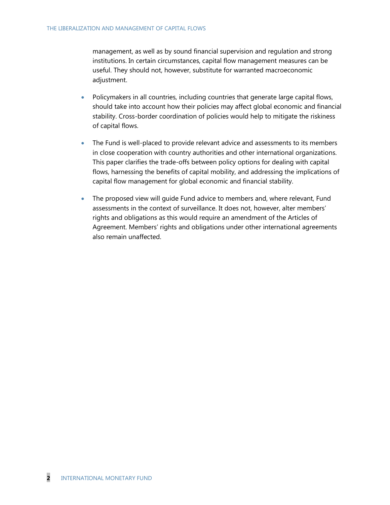management, as well as by sound financial supervision and regulation and strong institutions. In certain circumstances, capital flow management measures can be useful. They should not, however, substitute for warranted macroeconomic adjustment.

- Policymakers in all countries, including countries that generate large capital flows, should take into account how their policies may affect global economic and financial stability. Cross-border coordination of policies would help to mitigate the riskiness of capital flows.
- The Fund is well-placed to provide relevant advice and assessments to its members in close cooperation with country authorities and other international organizations. This paper clarifies the trade-offs between policy options for dealing with capital flows, harnessing the benefits of capital mobility, and addressing the implications of capital flow management for global economic and financial stability.
- The proposed view will guide Fund advice to members and, where relevant, Fund assessments in the context of surveillance. It does not, however, alter members' rights and obligations as this would require an amendment of the Articles of Agreement. Members' rights and obligations under other international agreements also remain unaffected.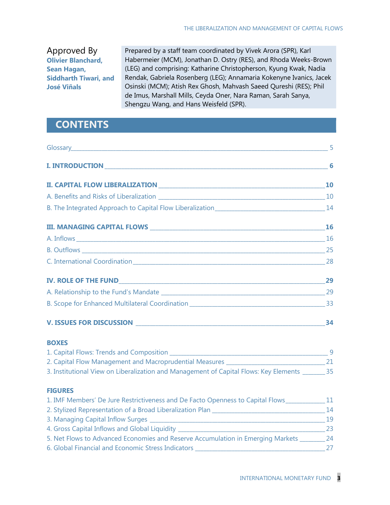Approved By **Olivier Blanchard, Sean Hagan, Siddharth Tiwari, and José Viñals**

Prepared by a staff team coordinated by Vivek Arora (SPR), Karl Habermeier (MCM), Jonathan D. Ostry (RES), and Rhoda Weeks-Brown (LEG) and comprising: Katharine Christopherson, Kyung Kwak, Nadia Rendak, Gabriela Rosenberg (LEG); Annamaria Kokenyne Ivanics, Jacek Osinski (MCM); Atish Rex Ghosh, Mahvash Saeed Qureshi (RES); Phil de Imus, Marshall Mills, Ceyda Oner, Nara Raman, Sarah Sanya, Shengzu Wang, and Hans Weisfeld (SPR).

## **CONTENTS**

**FIGURES**

| <b>BOXES</b>                                                                                     |  |
|--------------------------------------------------------------------------------------------------|--|
|                                                                                                  |  |
|                                                                                                  |  |
| 3. Institutional View on Liberalization and Management of Capital Flows: Key Elements _______ 35 |  |

## 1. IMF Members' De Jure Restrictiveness and De Facto Openness to Capital Flows\_\_\_\_\_\_\_\_\_\_\_\_\_\_ 11 2. Stylized Representation of a Broad Liberalization Plan \_\_\_\_\_\_\_\_\_\_\_\_\_\_\_\_\_\_\_\_\_\_\_\_\_\_\_\_\_\_\_\_\_\_\_\_\_\_\_\_ 14 3. Managing Capital Inflow Surges \_\_\_\_\_\_\_\_\_\_\_\_\_\_\_\_\_\_\_\_\_\_\_\_\_\_\_\_\_\_\_\_\_\_\_\_\_\_\_\_\_\_\_\_\_\_\_\_\_\_\_\_\_\_\_\_\_\_\_\_\_\_ 19 4. Gross Capital Inflows and Global Liquidity \_\_\_\_\_\_\_\_\_\_\_\_\_\_\_\_\_\_\_\_\_\_\_\_\_\_\_\_\_\_\_\_\_\_\_\_\_\_\_\_\_\_\_\_\_\_\_\_\_\_\_\_ 23 5. Net Flows to Advanced Economies and Reserve Accumulation in Emerging Markets \_\_\_\_\_\_\_\_\_ 24 6. Global Financial and Economic Stress Indicators \_\_\_\_\_\_\_\_\_\_\_\_\_\_\_\_\_\_\_\_\_\_\_\_\_\_\_\_\_\_\_\_\_\_\_\_\_\_\_\_\_\_\_\_\_\_ 27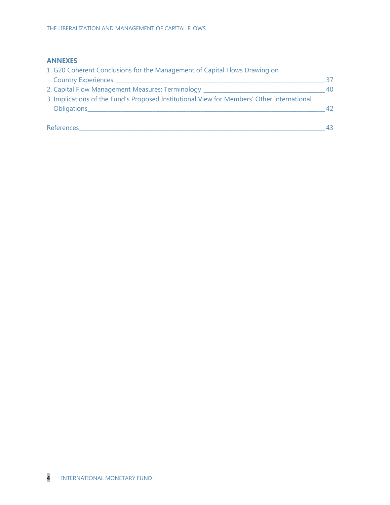#### **ANNEXES**

| 1. G20 Coherent Conclusions for the Management of Capital Flows Drawing on                 |    |
|--------------------------------------------------------------------------------------------|----|
| Country Experiences                                                                        | 37 |
| 2. Capital Flow Management Measures: Terminology                                           | 40 |
| 3. Implications of the Fund's Proposed Institutional View for Members' Other International |    |
| Obligations_                                                                               | 42 |
|                                                                                            |    |
| References                                                                                 | 43 |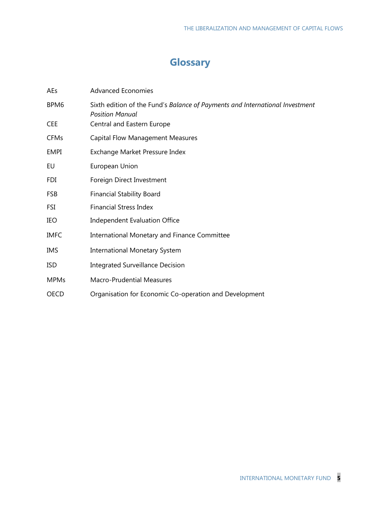# **Glossary**

| AEs         | <b>Advanced Economies</b>                                                                              |
|-------------|--------------------------------------------------------------------------------------------------------|
| BPM6        | Sixth edition of the Fund's Balance of Payments and International Investment<br><b>Position Manual</b> |
| <b>CEE</b>  | Central and Eastern Europe                                                                             |
| <b>CFMs</b> | <b>Capital Flow Management Measures</b>                                                                |
| <b>EMPI</b> | Exchange Market Pressure Index                                                                         |
| EU          | European Union                                                                                         |
| FDI         | Foreign Direct Investment                                                                              |
| <b>FSB</b>  | <b>Financial Stability Board</b>                                                                       |
| FSI         | <b>Financial Stress Index</b>                                                                          |
| IEO         | <b>Independent Evaluation Office</b>                                                                   |
| <b>IMFC</b> | International Monetary and Finance Committee                                                           |
| <b>IMS</b>  | <b>International Monetary System</b>                                                                   |
| <b>ISD</b>  | <b>Integrated Surveillance Decision</b>                                                                |
| <b>MPMs</b> | <b>Macro-Prudential Measures</b>                                                                       |
| OECD        | Organisation for Economic Co-operation and Development                                                 |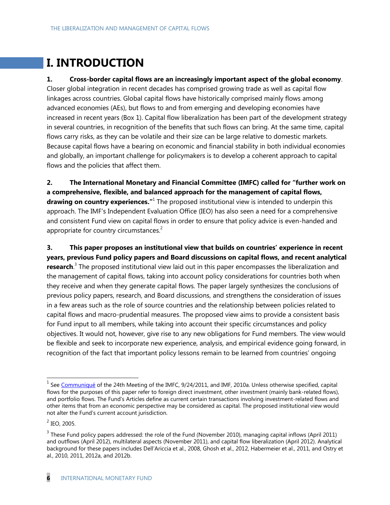# **I. INTRODUCTION**

#### **1. Cross-border capital flows are an increasingly important aspect of the global economy**.

Closer global integration in recent decades has comprised growing trade as well as capital flow linkages across countries. Global capital flows have historically comprised mainly flows among advanced economies (AEs), but flows to and from emerging and developing economies have increased in recent years (Box 1). Capital flow liberalization has been part of the development strategy in several countries, in recognition of the benefits that such flows can bring. At the same time, capital flows carry risks, as they can be volatile and their size can be large relative to domestic markets. Because capital flows have a bearing on economic and financial stability in both individual economies and globally, an important challenge for policymakers is to develop a coherent approach to capital flows and the policies that affect them.

**2. The International Monetary and Financial Committee (IMFC) called for "further work on a comprehensive, flexible, and balanced approach for the management of capital flows, drawing on country experiences."** The proposed institutional view is intended to underpin this approach. The IMF's Independent Evaluation Office (IEO) has also seen a need for a comprehensive and consistent Fund view on capital flows in order to ensure that policy advice is even-handed and appropriate for country circumstances. $2$ 

**3. This paper proposes an institutional view that builds on countries' experience in recent years, previous Fund policy papers and Board discussions on capital flows, and recent analytical research**. 3 The proposed institutional view laid out in this paper encompasses the liberalization and the management of capital flows, taking into account policy considerations for countries both when they receive and when they generate capital flows. The paper largely synthesizes the conclusions of previous policy papers, research, and Board discussions, and strengthens the consideration of issues in a few areas such as the role of source countries and the relationship between policies related to capital flows and macro-prudential measures. The proposed view aims to provide a consistent basis for Fund input to all members, while taking into account their specific circumstances and policy objectives. It would not, however, give rise to any new obligations for Fund members. The view would be flexible and seek to incorporate new experience, analysis, and empirical evidence going forward, in recognition of the fact that important policy lessons remain to be learned from countries' ongoing

<sup>&</sup>lt;sup>1</sup> See [Communiqué](http://www.imf.org/external/np/cm/2011/092411.htm) of the 24th Meeting of the IMFC, 9/24/2011, and IMF, 2010a. Unless otherwise specified, capital flows for the purposes of this paper refer to foreign direct investment, other investment (mainly bank-related flows), and portfolio flows. The Fund's Articles define as current certain transactions involving investment-related flows and other items that from an economic perspective may be considered as capital. The proposed institutional view would not alter the Fund's current account jurisdiction.

 $^{2}$  IEO, 2005.

 $3$  These Fund policy papers addressed: the role of the Fund (November 2010), managing capital inflows (April 2011) and outflows (April 2012), multilateral aspects (November 2011), and capital flow liberalization (April 2012). Analytical background for these papers includes Dell'Ariccia et al., 2008, Ghosh et al., 2012, Habermeier et al., 2011, and Ostry et al., 2010, 2011, 2012a, and 2012b.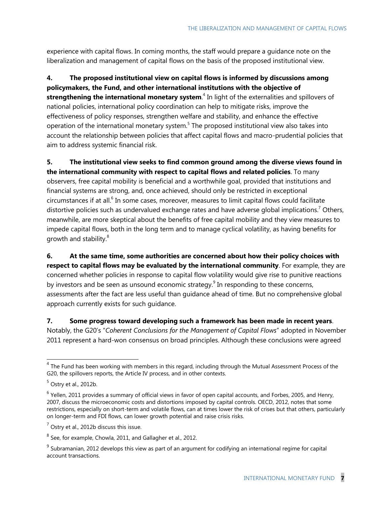experience with capital flows. In coming months, the staff would prepare a guidance note on the liberalization and management of capital flows on the basis of the proposed institutional view.

**4. The proposed institutional view on capital flows is informed by discussions among policymakers, the Fund, and other international institutions with the objective of strengthening the international monetary system**. 4 In light of the externalities and spillovers of national policies, international policy coordination can help to mitigate risks, improve the effectiveness of policy responses, strengthen welfare and stability, and enhance the effective operation of the international monetary system.<sup>5</sup> The proposed institutional view also takes into account the relationship between policies that affect capital flows and macro-prudential policies that aim to address systemic financial risk.

**5. The institutional view seeks to find common ground among the diverse views found in the international community with respect to capital flows and related policies**. To many observers, free capital mobility is beneficial and a worthwhile goal, provided that institutions and financial systems are strong, and, once achieved, should only be restricted in exceptional circumstances if at all.<sup>6</sup> In some cases, moreover, measures to limit capital flows could facilitate distortive policies such as undervalued exchange rates and have adverse global implications.<sup>7</sup> Others, meanwhile, are more skeptical about the benefits of free capital mobility and they view measures to impede capital flows, both in the long term and to manage cyclical volatility, as having benefits for growth and stability.<sup>8</sup>

**6. At the same time, some authorities are concerned about how their policy choices with respect to capital flows may be evaluated by the international community**. For example, they are concerned whether policies in response to capital flow volatility would give rise to punitive reactions by investors and be seen as unsound economic strategy. $9$  In responding to these concerns, assessments after the fact are less useful than guidance ahead of time. But no comprehensive global approach currently exists for such guidance.

**7. Some progress toward developing such a framework has been made in recent years**.

Notably, the G20's "Coherent Conclusions for the Management of Capital Flows" adopted in November 2011 represent a hard-won consensus on broad principles. Although these conclusions were agreed

 $<sup>4</sup>$  The Fund has been working with members in this regard, including through the Mutual Assessment Process of the</sup> G20, the spillovers reports, the Article IV process, and in other contexts.

 $<sup>5</sup>$  Ostry et al., 2012b.</sup>

 $<sup>6</sup>$  Yellen, 2011 provides a summary of official views in favor of open capital accounts, and Forbes, 2005, and Henry,</sup> 2007, discuss the microeconomic costs and distortions imposed by capital controls. OECD, 2012, notes that some restrictions, especially on short-term and volatile flows, can at times lower the risk of crises but that others, particularly on longer-term and FDI flows, can lower growth potential and raise crisis risks.

 $<sup>7</sup>$  Ostry et al., 2012b discuss this issue.</sup>

 $^8$  See, for example, Chowla, 2011, and Gallagher et al., 2012.

 $9$  Subramanian, 2012 develops this view as part of an argument for codifying an international regime for capital account transactions.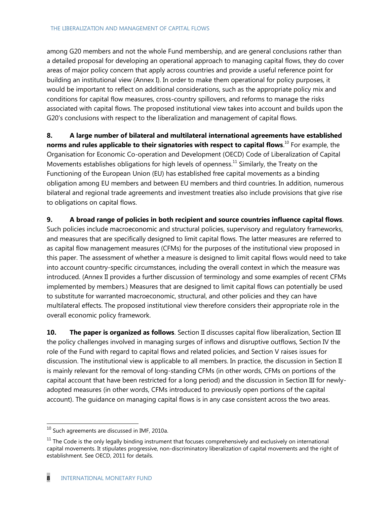among G20 members and not the whole Fund membership, and are general conclusions rather than a detailed proposal for developing an operational approach to managing capital flows, they do cover areas of major policy concern that apply across countries and provide a useful reference point for building an institutional view (Annex I). In order to make them operational for policy purposes, it would be important to reflect on additional considerations, such as the appropriate policy mix and conditions for capital flow measures, cross-country spillovers, and reforms to manage the risks associated with capital flows. The proposed institutional view takes into account and builds upon the G20's conclusions with respect to the liberalization and management of capital flows.

**8. A large number of bilateral and multilateral international agreements have established norms and rules applicable to their signatories with respect to capital flows**. <sup>10</sup> For example, the Organisation for Economic Co-operation and Development (OECD) Code of Liberalization of Capital Movements establishes obligations for high levels of openness.<sup>11</sup> Similarly, the Treaty on the Functioning of the European Union (EU) has established free capital movements as a binding obligation among EU members and between EU members and third countries. In addition, numerous bilateral and regional trade agreements and investment treaties also include provisions that give rise to obligations on capital flows.

**9. A broad range of policies in both recipient and source countries influence capital flows**. Such policies include macroeconomic and structural policies, supervisory and regulatory frameworks, and measures that are specifically designed to limit capital flows. The latter measures are referred to as capital flow management measures (CFMs) for the purposes of the institutional view proposed in this paper. The assessment of whether a measure is designed to limit capital flows would need to take into account country-specific circumstances, including the overall context in which the measure was introduced. (Annex II provides a further discussion of terminology and some examples of recent CFMs implemented by members.) Measures that are designed to limit capital flows can potentially be used to substitute for warranted macroeconomic, structural, and other policies and they can have multilateral effects. The proposed institutional view therefore considers their appropriate role in the overall economic policy framework.

**10. The paper is organized as follows**. Section II discusses capital flow liberalization, Section III the policy challenges involved in managing surges of inflows and disruptive outflows, Section IV the role of the Fund with regard to capital flows and related policies, and Section V raises issues for discussion. The institutional view is applicable to all members. In practice, the discussion in Section II is mainly relevant for the removal of long-standing CFMs (in other words, CFMs on portions of the capital account that have been restricted for a long period) and the discussion in Section III for newlyadopted measures (in other words, CFMs introduced to previously open portions of the capital account). The guidance on managing capital flows is in any case consistent across the two areas.

 $^{10}$  Such agreements are discussed in IMF, 2010a.

 $11$  The Code is the only legally binding instrument that focuses comprehensively and exclusively on international capital movements. It stipulates progressive, non-discriminatory liberalization of capital movements and the right of establishment. See OECD, 2011 for details.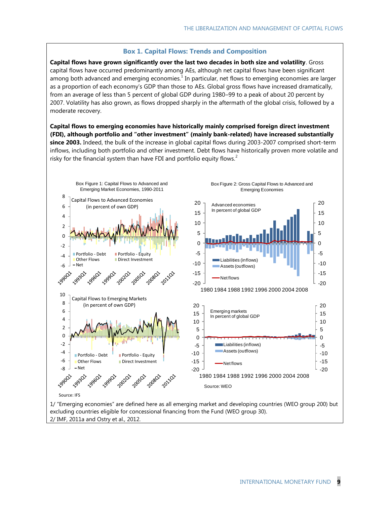#### **Box 1. Capital Flows: Trends and Composition**

**Capital flows have grown significantly over the last two decades in both size and volatility**. Gross capital flows have occurred predominantly among AEs, although net capital flows have been significant among both advanced and emerging economies. $<sup>1</sup>$  In particular, net flows to emerging economies are larger</sup> as a proportion of each economy's GDP than those to AEs. Global gross flows have increased dramatically, from an average of less than 5 percent of global GDP during 1980–99 to a peak of about 20 percent by 2007. Volatility has also grown, as flows dropped sharply in the aftermath of the global crisis, followed by a moderate recovery.

**Capital flows to emerging economies have historically mainly comprised foreign direct investment (FDI), although portfolio and "other investment" (mainly bank-related) have increased substantially since 2003.** Indeed, the bulk of the increase in global capital flows during 2003-2007 comprised short-term inflows, including both portfolio and other investment. Debt flows have historically proven more volatile and risky for the financial system than have FDI and portfolio equity flows.<sup>2</sup>



2/ IMF, 2011a and Ostry et al., 2012.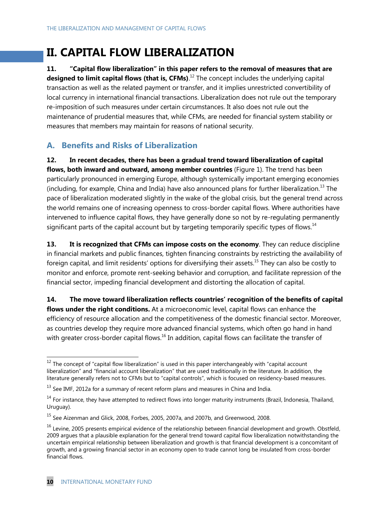# **II. CAPITAL FLOW LIBERALIZATION**

**11. "Capital flow liberalization" in this paper refers to the removal of measures that are**  designed to limit capital flows (that is, CFMs).<sup>12</sup> The concept includes the underlying capital transaction as well as the related payment or transfer, and it implies unrestricted convertibility of local currency in international financial transactions. Liberalization does not rule out the temporary re-imposition of such measures under certain circumstances. It also does not rule out the maintenance of prudential measures that, while CFMs, are needed for financial system stability or measures that members may maintain for reasons of national security.

## **A. Benefits and Risks of Liberalization**

**12. In recent decades, there has been a gradual trend toward liberalization of capital flows, both inward and outward, among member countries** (Figure 1). The trend has been particularly pronounced in emerging Europe, although systemically important emerging economies (including, for example, China and India) have also announced plans for further liberalization.<sup>13</sup> The pace of liberalization moderated slightly in the wake of the global crisis, but the general trend across the world remains one of increasing openness to cross-border capital flows. Where authorities have intervened to influence capital flows, they have generally done so not by re-regulating permanently significant parts of the capital account but by targeting temporarily specific types of flows.<sup>14</sup>

13. It is recognized that CFMs can impose costs on the economy. They can reduce discipline in financial markets and public finances, tighten financing constraints by restricting the availability of foreign capital, and limit residents' options for diversifying their assets.<sup>15</sup> They can also be costly to monitor and enforce, promote rent-seeking behavior and corruption, and facilitate repression of the financial sector, impeding financial development and distorting the allocation of capital.

**14. The move toward liberalization reflects countries' recognition of the benefits of capital flows under the right conditions.** At a microeconomic level, capital flows can enhance the efficiency of resource allocation and the competitiveness of the domestic financial sector. Moreover, as countries develop they require more advanced financial systems, which often go hand in hand with greater cross-border capital flows.<sup>16</sup> In addition, capital flows can facilitate the transfer of

 $12$  The concept of "capital flow liberalization" is used in this paper interchangeably with "capital account liberalization" and "financial account liberalization" that are used traditionally in the literature. In addition, the literature generally refers not to CFMs but to "capital controls", which is focused on residency-based measures.

 $^{13}$  See IMF, 2012a for a summary of recent reform plans and measures in China and India.

 $14$  For instance, they have attempted to redirect flows into longer maturity instruments (Brazil, Indonesia, Thailand, Uruguay).

<sup>&</sup>lt;sup>15</sup> See Aizenman and Glick, 2008, Forbes, 2005, 2007a, and 2007b, and Greenwood, 2008.

 $16$  Levine, 2005 presents empirical evidence of the relationship between financial development and growth. Obstfeld, 2009 argues that a plausible explanation for the general trend toward capital flow liberalization notwithstanding the uncertain empirical relationship between liberalization and growth is that financial development is a concomitant of growth, and a growing financial sector in an economy open to trade cannot long be insulated from cross-border financial flows.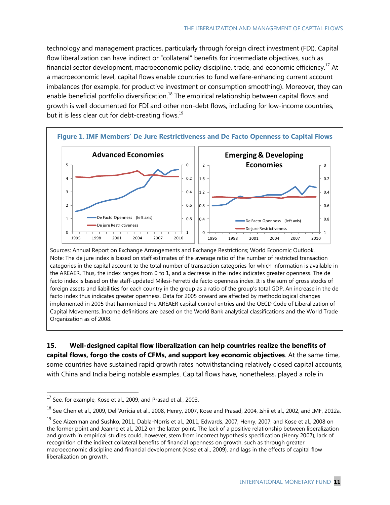technology and management practices, particularly through foreign direct investment (FDI). Capital flow liberalization can have indirect or "collateral" benefits for intermediate objectives, such as financial sector development, macroeconomic policy discipline, trade, and economic efficiency.<sup>17</sup> At a macroeconomic level, capital flows enable countries to fund welfare-enhancing current account imbalances (for example, for productive investment or consumption smoothing). Moreover, they can enable beneficial portfolio diversification.<sup>18</sup> The empirical relationship between capital flows and growth is well documented for FDI and other non-debt flows, including for low-income countries, but it is less clear cut for debt-creating flows.<sup>19</sup>



Sources: Annual Report on Exchange Arrangements and Exchange Restrictions; World Economic Outlook. Note: The de jure index is based on staff estimates of the average ratio of the number of restricted transaction categories in the capital account to the total number of transaction categories for which information is available in the AREAER. Thus, the index ranges from 0 to 1, and a decrease in the index indicates greater openness. The de facto index is based on the staff-updated Milesi-Ferretti de facto openness index. It is the sum of gross stocks of foreign assets and liabilities for each country in the group as a ratio of the group's total GDP. An increase in the de facto index thus indicates greater openness. Data for 2005 onward are affected by methodological changes implemented in 2005 that harmonized the AREAER capital control entries and the OECD Code of Liberalization of Capital Movements. Income definitions are based on the World Bank analytical classifications and the World Trade Organization as of 2008.

**15. Well-designed capital flow liberalization can help countries realize the benefits of capital flows, forgo the costs of CFMs, and support key economic objectives**. At the same time, some countries have sustained rapid growth rates notwithstanding relatively closed capital accounts, with China and India being notable examples. Capital flows have, nonetheless, played a role in

<sup>18</sup> See Chen et al., 2009, Dell'Arricia et al., 2008, Henry, 2007, Kose and Prasad, 2004, Ishii et al., 2002, and IMF, 2012a.

 $17$  See, for example, Kose et al., 2009, and Prasad et al., 2003.

<sup>&</sup>lt;sup>19</sup> See Aizenman and Sushko, 2011, Dabla-Norris et al., 2011, Edwards, 2007, Henry, 2007, and Kose et al., 2008 on the former point and Jeanne et al., 2012 on the latter point. The lack of a positive relationship between liberalization and growth in empirical studies could, however, stem from incorrect hypothesis specification (Henry 2007), lack of recognition of the indirect collateral benefits of financial openness on growth, such as through greater macroeconomic discipline and financial development (Kose et al., 2009), and lags in the effects of capital flow liberalization on growth.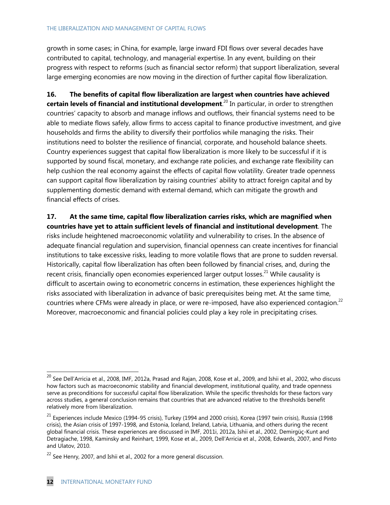growth in some cases; in China, for example, large inward FDI flows over several decades have contributed to capital, technology, and managerial expertise. In any event, building on their progress with respect to reforms (such as financial sector reform) that support liberalization, several large emerging economies are now moving in the direction of further capital flow liberalization.

**16. The benefits of capital flow liberalization are largest when countries have achieved certain levels of financial and institutional development**. <sup>20</sup> In particular, in order to strengthen countries' capacity to absorb and manage inflows and outflows, their financial systems need to be able to mediate flows safely, allow firms to access capital to finance productive investment, and give households and firms the ability to diversify their portfolios while managing the risks. Their institutions need to bolster the resilience of financial, corporate, and household balance sheets. Country experiences suggest that capital flow liberalization is more likely to be successful if it is supported by sound fiscal, monetary, and exchange rate policies, and exchange rate flexibility can help cushion the real economy against the effects of capital flow volatility. Greater trade openness can support capital flow liberalization by raising countries' ability to attract foreign capital and by supplementing domestic demand with external demand, which can mitigate the growth and financial effects of crises.

**17. At the same time, capital flow liberalization carries risks, which are magnified when countries have yet to attain sufficient levels of financial and institutional development**. The risks include heightened macroeconomic volatility and vulnerability to crises. In the absence of adequate financial regulation and supervision, financial openness can create incentives for financial institutions to take excessive risks, leading to more volatile flows that are prone to sudden reversal. Historically, capital flow liberalization has often been followed by financial crises, and, during the recent crisis, financially open economies experienced larger output losses.<sup>21</sup> While causality is difficult to ascertain owing to econometric concerns in estimation, these experiences highlight the risks associated with liberalization in advance of basic prerequisites being met. At the same time, countries where CFMs were already in place, or were re-imposed, have also experienced contagion.<sup>22</sup> Moreover, macroeconomic and financial policies could play a key role in precipitating crises.

 $^{20}$  See Dell'Arricia et al., 2008, IMF, 2012a, Prasad and Rajan, 2008, Kose et al., 2009, and Ishii et al., 2002, who discuss how factors such as macroeconomic stability and financial development, institutional quality, and trade openness serve as preconditions for successful capital flow liberalization. While the specific thresholds for these factors vary across studies, a general conclusion remains that countries that are advanced relative to the thresholds benefit relatively more from liberalization.

 $21$  Experiences include Mexico (1994-95 crisis), Turkey (1994 and 2000 crisis), Korea (1997 twin crisis), Russia (1998 crisis), the Asian crisis of 1997-1998, and Estonia, Iceland, Ireland, Latvia, Lithuania, and others during the recent global financial crisis. These experiences are discussed in IMF, 2011i, 2012a, Ishii et al., 2002, Demirgüç-Kunt and Detragiache, 1998, Kaminsky and Reinhart, 1999, Kose et al., 2009, Dell'Arricia et al., 2008, Edwards, 2007, and Pinto and Ulatov, 2010.

 $^{22}$  See Henry, 2007, and Ishii et al., 2002 for a more general discussion.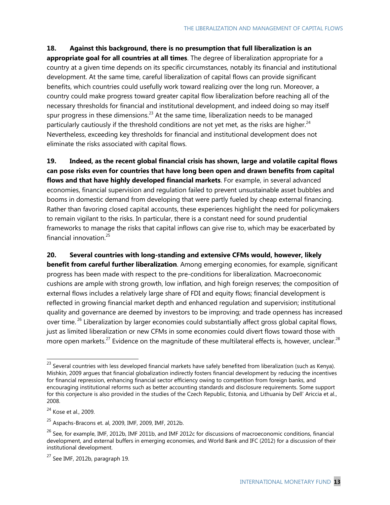#### **18. Against this background, there is no presumption that full liberalization is an**

**appropriate goal for all countries at all times**. The degree of liberalization appropriate for a country at a given time depends on its specific circumstances, notably its financial and institutional development. At the same time, careful liberalization of capital flows can provide significant benefits, which countries could usefully work toward realizing over the long run. Moreover, a country could make progress toward greater capital flow liberalization before reaching all of the necessary thresholds for financial and institutional development, and indeed doing so may itself spur progress in these dimensions.<sup>23</sup> At the same time, liberalization needs to be managed particularly cautiously if the threshold conditions are not yet met, as the risks are higher. $^{24}$ Nevertheless, exceeding key thresholds for financial and institutional development does not eliminate the risks associated with capital flows.

**19. Indeed, as the recent global financial crisis has shown, large and volatile capital flows can pose risks even for countries that have long been open and drawn benefits from capital flows and that have highly developed financial markets**. For example, in several advanced economies, financial supervision and regulation failed to prevent unsustainable asset bubbles and booms in domestic demand from developing that were partly fueled by cheap external financing. Rather than favoring closed capital accounts, these experiences highlight the need for policymakers to remain vigilant to the risks. In particular, there is a constant need for sound prudential frameworks to manage the risks that capital inflows can give rise to, which may be exacerbated by financial innovation.<sup>25</sup>

**20. Several countries with long-standing and extensive CFMs would, however, likely benefit from careful further liberalization**. Among emerging economies, for example, significant progress has been made with respect to the pre-conditions for liberalization. Macroeconomic cushions are ample with strong growth, low inflation, and high foreign reserves; the composition of external flows includes a relatively large share of FDI and equity flows; financial development is reflected in growing financial market depth and enhanced regulation and supervision; institutional quality and governance are deemed by investors to be improving; and trade openness has increased over time.<sup>26</sup> Liberalization by larger economies could substantially affect gross global capital flows, just as limited liberalization or new CFMs in some economies could divert flows toward those with more open markets.<sup>27</sup> Evidence on the magnitude of these multilateral effects is, however, unclear.<sup>28</sup>

 $^{23}$  Several countries with less developed financial markets have safely benefited from liberalization (such as Kenya). Mishkin, 2009 argues that financial globalization indirectly fosters financial development by reducing the incentives for financial repression, enhancing financial sector efficiency owing to competition from foreign banks, and encouraging institutional reforms such as better accounting standards and disclosure requirements. Some support for this conjecture is also provided in the studies of the Czech Republic, Estonia, and Lithuania by Dell' Ariccia et al., 2008.

 $24$  Kose et al., 2009.

 $^{25}$  Aspachs-Bracons et. al, 2009, IMF, 2009, IMF, 2012b.

 $^{26}$  See, for example, IMF, 2012b, IMF 2011b, and IMF 2012c for discussions of macroeconomic conditions, financial development, and external buffers in emerging economies, and World Bank and IFC (2012) for a discussion of their institutional development.

 $27$  See IMF, 2012b, paragraph 19.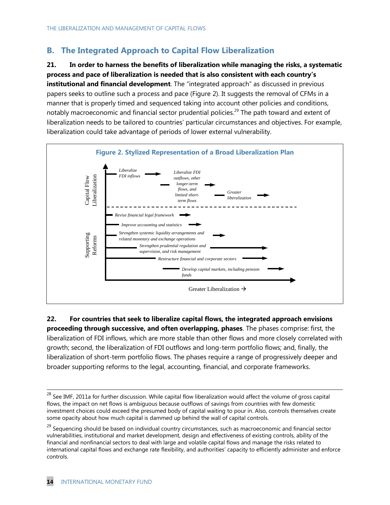## **B. The Integrated Approach to Capital Flow Liberalization**

**21. In order to harness the benefits of liberalization while managing the risks, a systematic process and pace of liberalization is needed that is also consistent with each country's institutional and financial development**. The "integrated approach" as discussed in previous papers seeks to outline such a process and pace (Figure 2). It suggests the removal of CFMs in a manner that is properly timed and sequenced taking into account other policies and conditions, notably macroeconomic and financial sector prudential policies.<sup>29</sup> The path toward and extent of liberalization needs to be tailored to countries' particular circumstances and objectives. For example, liberalization could take advantage of periods of lower external vulnerability.



**22. For countries that seek to liberalize capital flows, the integrated approach envisions proceeding through successive, and often overlapping, phases**. The phases comprise: first, the liberalization of FDI inflows, which are more stable than other flows and more closely correlated with growth; second, the liberalization of FDI outflows and long-term portfolio flows; and, finally, the liberalization of short-term portfolio flows. The phases require a range of progressively deeper and broader supporting reforms to the legal, accounting, financial, and corporate frameworks.

 $^{28}$  See IMF, 2011a for further discussion. While capital flow liberalization would affect the volume of gross capital flows, the impact on net flows is ambiguous because outflows of savings from countries with few domestic investment choices could exceed the presumed body of capital waiting to pour in. Also, controls themselves create some opacity about how much capital is dammed up behind the wall of capital controls.

<sup>&</sup>lt;sup>29</sup> Sequencing should be based on individual country circumstances, such as macroeconomic and financial sector vulnerabilities, institutional and market development, design and effectiveness of existing controls, ability of the financial and nonfinancial sectors to deal with large and volatile capital flows and manage the risks related to international capital flows and exchange rate flexibility, and authorities' capacity to efficiently administer and enforce controls.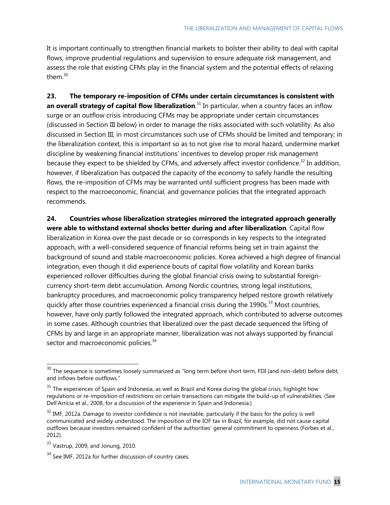It is important continually to strengthen financial markets to bolster their ability to deal with capital flows, improve prudential regulations and supervision to ensure adequate risk management, and assess the role that existing CFMs play in the financial system and the potential effects of relaxing them.<sup>30</sup>

**23. The temporary re-imposition of CFMs under certain circumstances is consistent with an overall strategy of capital flow liberalization**. <sup>31</sup> In particular, when a country faces an inflow surge or an outflow crisis introducing CFMs may be appropriate under certain circumstances (discussed in Section III below) in order to manage the risks associated with such volatility. As also discussed in Section III, in most circumstances such use of CFMs should be limited and temporary; in the liberalization context, this is important so as to not give rise to moral hazard, undermine market discipline by weakening financial institutions' incentives to develop proper risk management because they expect to be shielded by CFMs, and adversely affect investor confidence.<sup>32</sup> In addition, however, if liberalization has outpaced the capacity of the economy to safely handle the resulting flows, the re-imposition of CFMs may be warranted until sufficient progress has been made with respect to the macroeconomic, financial, and governance policies that the integrated approach recommends.

**24. Countries whose liberalization strategies mirrored the integrated approach generally were able to withstand external shocks better during and after liberalization**. Capital flow liberalization in Korea over the past decade or so corresponds in key respects to the integrated approach, with a well-considered sequence of financial reforms being set in train against the background of sound and stable macroeconomic policies. Korea achieved a high degree of financial integration, even though it did experience bouts of capital flow volatility and Korean banks experienced rollover difficulties during the global financial crisis owing to substantial foreigncurrency short-term debt accumulation. Among Nordic countries, strong legal institutions, bankruptcy procedures, and macroeconomic policy transparency helped restore growth relatively quickly after those countries experienced a financial crisis during the 1990s.<sup>33</sup> Most countries, however, have only partly followed the integrated approach, which contributed to adverse outcomes in some cases. Although countries that liberalized over the past decade sequenced the lifting of CFMs by and large in an appropriate manner, liberalization was not always supported by financial sector and macroeconomic policies.<sup>34</sup>

 $30$  The sequence is sometimes loosely summarized as "long term before short term, FDI (and non-debt) before debt, and inflows before outflows."

 $31$  The experiences of Spain and Indonesia, as well as Brazil and Korea during the global crisis, highlight how regulations or re-imposition of restrictions on certain transactions can mitigate the build-up of vulnerabilities. (See Dell'Arricia et al., 2008, for a discussion of the experience in Spain and Indonesia.)

 $32$  IMF, 2012a. Damage to investor confidence is not inevitable, particularly if the basis for the policy is well communicated and widely understood. The imposition of the IOF tax in Brazil, for example, did not cause capital outflows because investors remained confident of the authorities' general commitment to openness (Forbes et al., 2012).

 $33$  Vastrup, 2009, and Jonung, 2010.

 $34$  See IMF, 2012a for further discussion of country cases.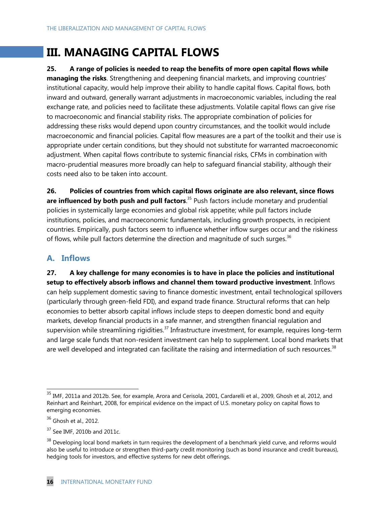# **III. MANAGING CAPITAL FLOWS**

### **25. A range of policies is needed to reap the benefits of more open capital flows while**

**managing the risks**. Strengthening and deepening financial markets, and improving countries' institutional capacity, would help improve their ability to handle capital flows. Capital flows, both inward and outward, generally warrant adjustments in macroeconomic variables, including the real exchange rate, and policies need to facilitate these adjustments. Volatile capital flows can give rise to macroeconomic and financial stability risks. The appropriate combination of policies for addressing these risks would depend upon country circumstances, and the toolkit would include macroeconomic and financial policies. Capital flow measures are a part of the toolkit and their use is appropriate under certain conditions, but they should not substitute for warranted macroeconomic adjustment. When capital flows contribute to systemic financial risks, CFMs in combination with macro-prudential measures more broadly can help to safeguard financial stability, although their costs need also to be taken into account.

**26. Policies of countries from which capital flows originate are also relevant, since flows are influenced by both push and pull factors**. <sup>35</sup> Push factors include monetary and prudential policies in systemically large economies and global risk appetite; while pull factors include institutions, policies, and macroeconomic fundamentals, including growth prospects, in recipient countries. Empirically, push factors seem to influence whether inflow surges occur and the riskiness of flows, while pull factors determine the direction and magnitude of such surges.<sup>36</sup>

### **A. Inflows**

**27. A key challenge for many economies is to have in place the policies and institutional setup to effectively absorb inflows and channel them toward productive investment**. Inflows can help supplement domestic saving to finance domestic investment, entail technological spillovers (particularly through green-field FDI), and expand trade finance. Structural reforms that can help economies to better absorb capital inflows include steps to deepen domestic bond and equity markets, develop financial products in a safe manner, and strengthen financial regulation and supervision while streamlining rigidities.<sup>37</sup> Infrastructure investment, for example, requires long-term and large scale funds that non-resident investment can help to supplement. Local bond markets that are well developed and integrated can facilitate the raising and intermediation of such resources.<sup>38</sup>

<sup>&</sup>lt;sup>35</sup> IMF, 2011a and 2012b. See, for example, Arora and Cerisola, 2001, Cardarelli et al., 2009, Ghosh et al, 2012, and Reinhart and Reinhart, 2008, for empirical evidence on the impact of U.S. monetary policy on capital flows to emerging economies.

 $36$  Ghosh et al., 2012.

 $37$  See IMF, 2010b and 2011c.

 $38$  Developing local bond markets in turn requires the development of a benchmark yield curve, and reforms would also be useful to introduce or strengthen third-party credit monitoring (such as bond insurance and credit bureaus), hedging tools for investors, and effective systems for new debt offerings.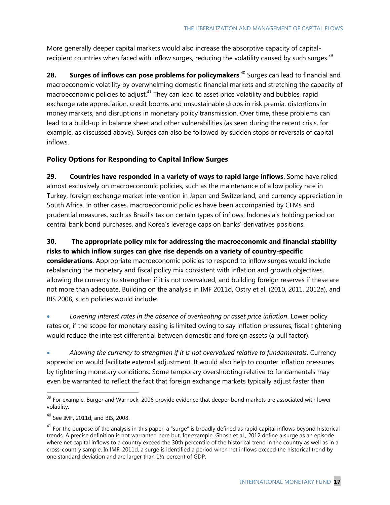More generally deeper capital markets would also increase the absorptive capacity of capitalrecipient countries when faced with inflow surges, reducing the volatility caused by such surges.<sup>39</sup>

28. Surges of inflows can pose problems for policymakers.<sup>40</sup> Surges can lead to financial and macroeconomic volatility by overwhelming domestic financial markets and stretching the capacity of macroeconomic policies to adjust.<sup>41</sup> They can lead to asset price volatility and bubbles, rapid exchange rate appreciation, credit booms and unsustainable drops in risk premia, distortions in money markets, and disruptions in monetary policy transmission. Over time, these problems can lead to a build-up in balance sheet and other vulnerabilities (as seen during the recent crisis, for example, as discussed above). Surges can also be followed by sudden stops or reversals of capital inflows.

### **Policy Options for Responding to Capital Inflow Surges**

**29. Countries have responded in a variety of ways to rapid large inflows**. Some have relied almost exclusively on macroeconomic policies, such as the maintenance of a low policy rate in Turkey, foreign exchange market intervention in Japan and Switzerland, and currency appreciation in South Africa. In other cases, macroeconomic policies have been accompanied by CFMs and prudential measures, such as Brazil's tax on certain types of inflows, Indonesia's holding period on central bank bond purchases, and Korea's leverage caps on banks' derivatives positions.

**30. The appropriate policy mix for addressing the macroeconomic and financial stability risks to which inflow surges can give rise depends on a variety of country-specific considerations**. Appropriate macroeconomic policies to respond to inflow surges would include rebalancing the monetary and fiscal policy mix consistent with inflation and growth objectives, allowing the currency to strengthen if it is not overvalued, and building foreign reserves if these are not more than adequate. Building on the analysis in IMF 2011d, Ostry et al. (2010, 2011, 2012a), and BIS 2008, such policies would include:

 *Lowering interest rates in the absence of overheating or asset price inflation*. Lower policy rates or, if the scope for monetary easing is limited owing to say inflation pressures, fiscal tightening would reduce the interest differential between domestic and foreign assets (a pull factor).

 *Allowing the currency to strengthen if it is not overvalued relative to fundamentals*. Currency appreciation would facilitate external adjustment. It would also help to counter inflation pressures by tightening monetary conditions. Some temporary overshooting relative to fundamentals may even be warranted to reflect the fact that foreign exchange markets typically adjust faster than

  $39$  For example, Burger and Warnock, 2006 provide evidence that deeper bond markets are associated with lower volatility.

 $40$  See IMF, 2011d, and BIS, 2008.

 $41$  For the purpose of the analysis in this paper, a "surge" is broadly defined as rapid capital inflows beyond historical trends. A precise definition is not warranted here but, for example, Ghosh et al., 2012 define a surge as an episode where net capital inflows to a country exceed the 30th percentile of the historical trend in the country as well as in a cross-country sample. In IMF, 2011d, a surge is identified a period when net inflows exceed the historical trend by one standard deviation and are larger than 1½ percent of GDP.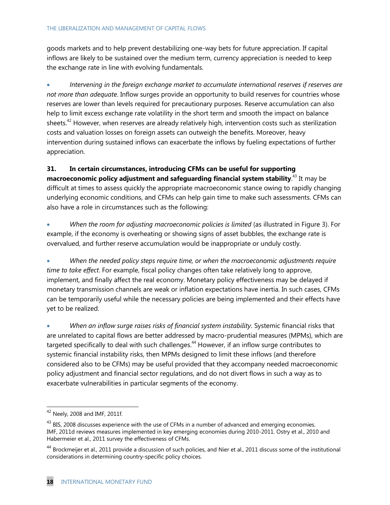goods markets and to help prevent destabilizing one-way bets for future appreciation. If capital inflows are likely to be sustained over the medium term, currency appreciation is needed to keep the exchange rate in line with evolving fundamentals.

 *Intervening in the foreign exchange market to accumulate international reserves if reserves are not more than adequate*. Inflow surges provide an opportunity to build reserves for countries whose reserves are lower than levels required for precautionary purposes. Reserve accumulation can also help to limit excess exchange rate volatility in the short term and smooth the impact on balance sheets.<sup>42</sup> However, when reserves are already relatively high, intervention costs such as sterilization costs and valuation losses on foreign assets can outweigh the benefits. Moreover, heavy intervention during sustained inflows can exacerbate the inflows by fueling expectations of further appreciation.

**31. In certain circumstances, introducing CFMs can be useful for supporting macroeconomic policy adjustment and safeguarding financial system stability**. <sup>43</sup> It may be difficult at times to assess quickly the appropriate macroeconomic stance owing to rapidly changing underlying economic conditions, and CFMs can help gain time to make such assessments. CFMs can also have a role in circumstances such as the following:

 *When the room for adjusting macroeconomic policies is limited* (as illustrated in Figure 3). For example, if the economy is overheating or showing signs of asset bubbles, the exchange rate is overvalued, and further reserve accumulation would be inappropriate or unduly costly.

 *When the needed policy steps require time, or when the macroeconomic adjustments require time to take effect*. For example, fiscal policy changes often take relatively long to approve, implement, and finally affect the real economy. Monetary policy effectiveness may be delayed if monetary transmission channels are weak or inflation expectations have inertia. In such cases, CFMs can be temporarily useful while the necessary policies are being implemented and their effects have yet to be realized.

 *When an inflow surge raises risks of financial system instability*. Systemic financial risks that are unrelated to capital flows are better addressed by macro-prudential measures (MPMs), which are targeted specifically to deal with such challenges.<sup>44</sup> However, if an inflow surge contributes to systemic financial instability risks, then MPMs designed to limit these inflows (and therefore considered also to be CFMs) may be useful provided that they accompany needed macroeconomic policy adjustment and financial sector regulations, and do not divert flows in such a way as to exacerbate vulnerabilities in particular segments of the economy.

 $42$  Neely, 2008 and IMF, 2011f.

 $43$  BIS, 2008 discusses experience with the use of CFMs in a number of advanced and emerging economies. IMF, 2011d reviews measures implemented in key emerging economies during 2010-2011. Ostry et al., 2010 and Habermeier et al., 2011 survey the effectiveness of CFMs.

<sup>&</sup>lt;sup>44</sup> Brockmeijer et al., 2011 provide a discussion of such policies, and Nier et al., 2011 discuss some of the institutional considerations in determining country-specific policy choices.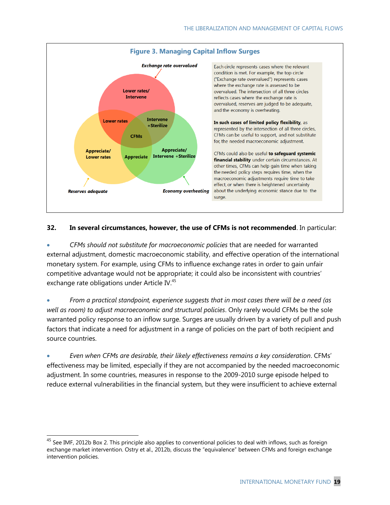

#### **32. In several circumstances, however, the use of CFMs is not recommended**. In particular:

 *CFMs should not substitute for macroeconomic policies* that are needed for warranted external adjustment, domestic macroeconomic stability, and effective operation of the international monetary system. For example, using CFMs to influence exchange rates in order to gain unfair competitive advantage would not be appropriate; it could also be inconsistent with countries' exchange rate obligations under Article IV.<sup>45</sup>

 *From a practical standpoint, experience suggests that in most cases there will be a need (as well as room) to adjust macroeconomic and structural policies*. Only rarely would CFMs be the sole warranted policy response to an inflow surge. Surges are usually driven by a variety of pull and push factors that indicate a need for adjustment in a range of policies on the part of both recipient and source countries.

 *Even when CFMs are desirable, their likely effectiveness remains a key consideration*. CFMs' effectiveness may be limited, especially if they are not accompanied by the needed macroeconomic adjustment. In some countries, measures in response to the 2009-2010 surge episode helped to reduce external vulnerabilities in the financial system, but they were insufficient to achieve external

 $^{45}$  See IMF, 2012b Box 2. This principle also applies to conventional policies to deal with inflows, such as foreign exchange market intervention. Ostry et al., 2012b, discuss the "equivalence" between CFMs and foreign exchange intervention policies.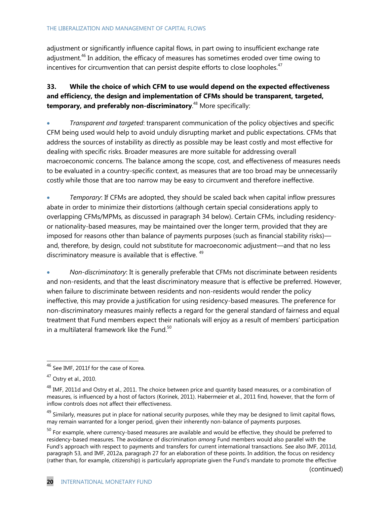adjustment or significantly influence capital flows, in part owing to insufficient exchange rate adjustment.<sup>46</sup> In addition, the efficacy of measures has sometimes eroded over time owing to incentives for circumvention that can persist despite efforts to close loopholes. $47$ 

### **33. While the choice of which CFM to use would depend on the expected effectiveness and efficiency, the design and implementation of CFMs should be transparent, targeted, temporary, and preferably non-discriminatory**. <sup>48</sup> More specifically:

 *Transparent and targeted*: transparent communication of the policy objectives and specific CFM being used would help to avoid unduly disrupting market and public expectations. CFMs that address the sources of instability as directly as possible may be least costly and most effective for dealing with specific risks. Broader measures are more suitable for addressing overall macroeconomic concerns. The balance among the scope, cost, and effectiveness of measures needs to be evaluated in a country-specific context, as measures that are too broad may be unnecessarily costly while those that are too narrow may be easy to circumvent and therefore ineffective.

 *Temporary*: If CFMs are adopted, they should be scaled back when capital inflow pressures abate in order to minimize their distortions (although certain special considerations apply to overlapping CFMs/MPMs, as discussed in paragraph 34 below). Certain CFMs, including residencyor nationality-based measures, may be maintained over the longer term, provided that they are imposed for reasons other than balance of payments purposes (such as financial stability risks) and, therefore, by design, could not substitute for macroeconomic adjustment—and that no less discriminatory measure is available that is effective. <sup>49</sup>

 *Non-discriminatory*: It is generally preferable that CFMs not discriminate between residents and non-residents, and that the least discriminatory measure that is effective be preferred. However, when failure to discriminate between residents and non-residents would render the policy ineffective, this may provide a justification for using residency-based measures. The preference for non-discriminatory measures mainly reflects a regard for the general standard of fairness and equal treatment that Fund members expect their nationals will enjoy as a result of members' participation in a multilateral framework like the Fund. $50$ 

 $\overline{a}$ 

<sup>49</sup> Similarly, measures put in place for national security purposes, while they may be designed to limit capital flows, may remain warranted for a longer period, given their inherently non-balance of payments purposes.

<sup>50</sup> For example, where currency-based measures are available and would be effective, they should be preferred to residency-based measures. The avoidance of discrimination *among* Fund members would also parallel with the Fund's approach with respect to payments and transfers for current international transactions. See also IMF, 2011d, paragraph 53, and IMF, 2012a, paragraph 27 for an elaboration of these points. In addition, the focus on residency (rather than, for example, citizenship) is particularly appropriate given the Fund's mandate to promote the effective

 $^{46}$  See IMF, 2011f for the case of Korea.

<sup>47</sup> Ostry et al., 2010.

<sup>&</sup>lt;sup>48</sup> IMF, 2011d and Ostry et al., 2011. The choice between price and quantity based measures, or a combination of measures, is influenced by a host of factors (Korinek, 2011). Habermeier et al., 2011 find, however, that the form of inflow controls does not affect their effectiveness.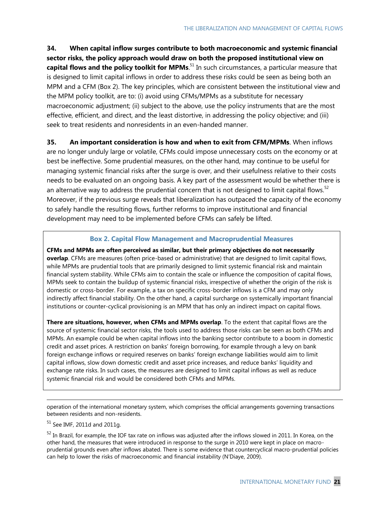**34. When capital inflow surges contribute to both macroeconomic and systemic financial sector risks, the policy approach would draw on both the proposed institutional view on capital flows and the policy toolkit for MPMs**. <sup>51</sup> In such circumstances, a particular measure that is designed to limit capital inflows in order to address these risks could be seen as being both an MPM and a CFM (Box 2). The key principles, which are consistent between the institutional view and the MPM policy toolkit, are to: (i) avoid using CFMs/MPMs as a substitute for necessary macroeconomic adjustment; (ii) subject to the above, use the policy instruments that are the most effective, efficient, and direct, and the least distortive, in addressing the policy objective; and (iii) seek to treat residents and nonresidents in an even-handed manner.

**35. An important consideration is how and when to exit from CFM/MPMs**. When inflows are no longer unduly large or volatile, CFMs could impose unnecessary costs on the economy or at best be ineffective. Some prudential measures, on the other hand, may continue to be useful for managing systemic financial risks after the surge is over, and their usefulness relative to their costs needs to be evaluated on an ongoing basis. A key part of the assessment would be whether there is an alternative way to address the prudential concern that is not designed to limit capital flows.<sup>52</sup> Moreover, if the previous surge reveals that liberalization has outpaced the capacity of the economy to safely handle the resulting flows, further reforms to improve institutional and financial development may need to be implemented before CFMs can safely be lifted.

#### **Box 2. Capital Flow Management and Macroprudential Measures**

**CFMs and MPMs are often perceived as similar, but their primary objectives do not necessarily overlap**. CFMs are measures (often price-based or administrative) that are designed to limit capital flows, while MPMs are prudential tools that are primarily designed to limit systemic financial risk and maintain financial system stability. While CFMs aim to contain the scale or influence the composition of capital flows, MPMs seek to contain the buildup of systemic financial risks, irrespective of whether the origin of the risk is domestic or cross-border. For example, a tax on specific cross-border inflows is a CFM and may only indirectly affect financial stability. On the other hand, a capital surcharge on systemically important financial institutions or counter-cyclical provisioning is an MPM that has only an indirect impact on capital flows.

**There are situations, however, when CFMs and MPMs overlap**. To the extent that capital flows are the source of systemic financial sector risks, the tools used to address those risks can be seen as both CFMs and MPMs. An example could be when capital inflows into the banking sector contribute to a boom in domestic credit and asset prices. A restriction on banks' foreign borrowing, for example through a levy on bank foreign exchange inflows or required reserves on banks' foreign exchange liabilities would aim to limit capital inflows, slow down domestic credit and asset price increases, and reduce banks' liquidity and exchange rate risks. In such cases, the measures are designed to limit capital inflows as well as reduce systemic financial risk and would be considered both CFMs and MPMs.

operation of the international monetary system, which comprises the official arrangements governing transactions between residents and non-residents.

 $51$  See IMF, 2011d and 2011g.

-

 $52$  In Brazil, for example, the IOF tax rate on inflows was adjusted after the inflows slowed in 2011. In Korea, on the other hand, the measures that were introduced in response to the surge in 2010 were kept in place on macroprudential grounds even after inflows abated. There is some evidence that countercyclical macro-prudential policies can help to lower the risks of macroeconomic and financial instability (N'Diaye, 2009).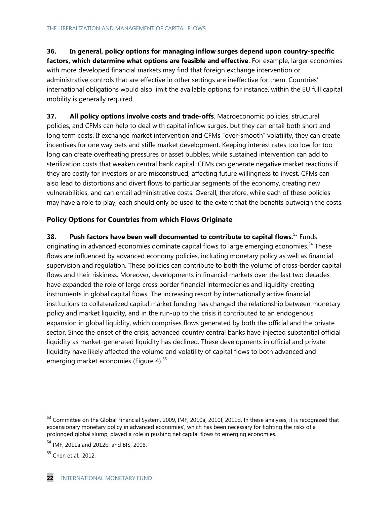### **36. In general, policy options for managing inflow surges depend upon country-specific**

**factors, which determine what options are feasible and effective**. For example, larger economies with more developed financial markets may find that foreign exchange intervention or administrative controls that are effective in other settings are ineffective for them. Countries' international obligations would also limit the available options; for instance, within the EU full capital mobility is generally required.

**37. All policy options involve costs and trade-offs**. Macroeconomic policies, structural policies, and CFMs can help to deal with capital inflow surges, but they can entail both short and long term costs. If exchange market intervention and CFMs "over-smooth" volatility, they can create incentives for one way bets and stifle market development. Keeping interest rates too low for too long can create overheating pressures or asset bubbles, while sustained intervention can add to sterilization costs that weaken central bank capital. CFMs can generate negative market reactions if they are costly for investors or are misconstrued, affecting future willingness to invest. CFMs can also lead to distortions and divert flows to particular segments of the economy, creating new vulnerabilities, and can entail administrative costs. Overall, therefore, while each of these policies may have a role to play, each should only be used to the extent that the benefits outweigh the costs.

#### **Policy Options for Countries from which Flows Originate**

**38.** Push factors have been well documented to contribute to capital flows.<sup>53</sup> Funds originating in advanced economies dominate capital flows to large emerging economies.<sup>54</sup> These flows are influenced by advanced economy policies, including monetary policy as well as financial supervision and regulation. These policies can contribute to both the volume of cross-border capital flows and their riskiness. Moreover, developments in financial markets over the last two decades have expanded the role of large cross border financial intermediaries and liquidity-creating instruments in global capital flows. The increasing resort by internationally active financial institutions to collateralized capital market funding has changed the relationship between monetary policy and market liquidity, and in the run-up to the crisis it contributed to an endogenous expansion in global liquidity, which comprises flows generated by both the official and the private sector. Since the onset of the crisis, advanced country central banks have injected substantial official liquidity as market-generated liquidity has declined. These developments in official and private liquidity have likely affected the volume and volatility of capital flows to both advanced and emerging market economies (Figure 4).<sup>55</sup>

 $53$  Committee on the Global Financial System, 2009, IMF, 2010a, 2010f, 2011d. In these analyses, it is recognized that expansionary monetary policy in advanced economies', which has been necessary for fighting the risks of a prolonged global slump, played a role in pushing net capital flows to emerging economies.

<sup>54</sup> IMF, 2011a and 2012b, and BIS, 2008.

<sup>55</sup> Chen et al., 2012.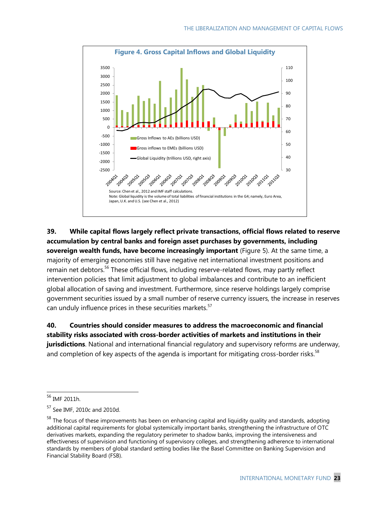

**39. While capital flows largely reflect private transactions, official flows related to reserve accumulation by central banks and foreign asset purchases by governments, including sovereign wealth funds, have become increasingly important** (Figure 5). At the same time, a majority of emerging economies still have negative net international investment positions and remain net debtors.<sup>56</sup> These official flows, including reserve-related flows, may partly reflect intervention policies that limit adjustment to global imbalances and contribute to an inefficient global allocation of saving and investment. Furthermore, since reserve holdings largely comprise government securities issued by a small number of reserve currency issuers, the increase in reserves can unduly influence prices in these securities markets.<sup>57</sup>

**40. Countries should consider measures to address the macroeconomic and financial stability risks associated with cross-border activities of markets and institutions in their jurisdictions**. National and international financial regulatory and supervisory reforms are underway, and completion of key aspects of the agenda is important for mitigating cross-border risks.<sup>58</sup>

<sup>56</sup> IMF 2011h.

<sup>57</sup> See IMF, 2010c and 2010d.

<sup>&</sup>lt;sup>58</sup> The focus of these improvements has been on enhancing capital and liquidity quality and standards, adopting additional capital requirements for global systemically important banks, strengthening the infrastructure of OTC derivatives markets, expanding the regulatory perimeter to shadow banks, improving the intensiveness and effectiveness of supervision and functioning of supervisory colleges, and strengthening adherence to international standards by members of global standard setting bodies like the Basel Committee on Banking Supervision and Financial Stability Board (FSB).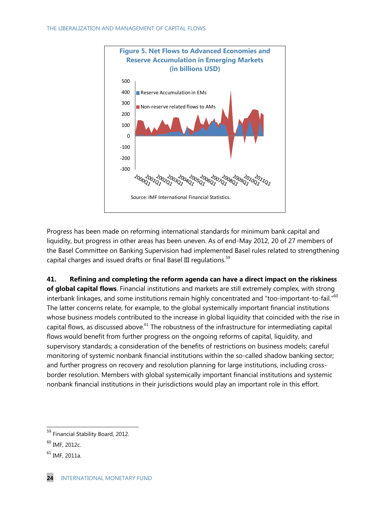

Progress has been made on reforming international standards for minimum bank capital and liquidity, but progress in other areas has been uneven. As of end-May 2012, 20 of 27 members of the Basel Committee on Banking Supervision had implemented Basel rules related to strengthening capital charges and issued drafts or final Basel III regulations.<sup>59</sup>

**41. Refining and completing the reform agenda can have a direct impact on the riskiness of global capital flows**. Financial institutions and markets are still extremely complex, with strong interbank linkages, and some institutions remain highly concentrated and "too-important-to-fail."<sup>60</sup> The latter concerns relate, for example, to the global systemically important financial institutions whose business models contributed to the increase in global liquidity that coincided with the rise in capital flows, as discussed above.<sup>61</sup> The robustness of the infrastructure for intermediating capital flows would benefit from further progress on the ongoing reforms of capital, liquidity, and supervisory standards; a consideration of the benefits of restrictions on business models; careful monitoring of systemic nonbank financial institutions within the so-called shadow banking sector; and further progress on recovery and resolution planning for large institutions, including crossborder resolution. Members with global systemically important financial institutions and systemic nonbank financial institutions in their jurisdictions would play an important role in this effort.

<sup>&</sup>lt;sup>59</sup> Financial Stability Board, 2012.

<sup>60</sup> IMF, 2012c.

 $61$  IMF, 2011a.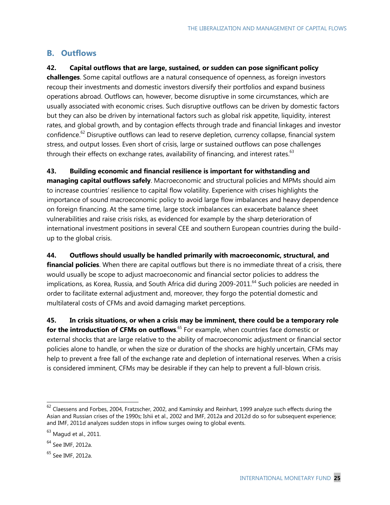### **B. Outflows**

### **42. Capital outflows that are large, sustained, or sudden can pose significant policy**

**challenges**. Some capital outflows are a natural consequence of openness, as foreign investors recoup their investments and domestic investors diversify their portfolios and expand business operations abroad. Outflows can, however, become disruptive in some circumstances, which are usually associated with economic crises. Such disruptive outflows can be driven by domestic factors but they can also be driven by international factors such as global risk appetite, liquidity, interest rates, and global growth, and by contagion effects through trade and financial linkages and investor confidence.<sup>62</sup> Disruptive outflows can lead to reserve depletion, currency collapse, financial system stress, and output losses. Even short of crisis, large or sustained outflows can pose challenges through their effects on exchange rates, availability of financing, and interest rates.<sup>63</sup>

**43. Building economic and financial resilience is important for withstanding and managing capital outflows safely**. Macroeconomic and structural policies and MPMs should aim to increase countries' resilience to capital flow volatility. Experience with crises highlights the importance of sound macroeconomic policy to avoid large flow imbalances and heavy dependence on foreign financing. At the same time, large stock imbalances can exacerbate balance sheet vulnerabilities and raise crisis risks, as evidenced for example by the sharp deterioration of international investment positions in several CEE and southern European countries during the buildup to the global crisis.

**44. Outflows should usually be handled primarily with macroeconomic, structural, and financial policies**. When there are capital outflows but there is no immediate threat of a crisis, there would usually be scope to adjust macroeconomic and financial sector policies to address the implications, as Korea, Russia, and South Africa did during 2009-2011.<sup>64</sup> Such policies are needed in order to facilitate external adjustment and, moreover, they forgo the potential domestic and multilateral costs of CFMs and avoid damaging market perceptions.

**45. In crisis situations, or when a crisis may be imminent, there could be a temporary role for the introduction of CFMs on outflows**. <sup>65</sup> For example, when countries face domestic or external shocks that are large relative to the ability of macroeconomic adjustment or financial sector policies alone to handle, or when the size or duration of the shocks are highly uncertain, CFMs may help to prevent a free fall of the exchange rate and depletion of international reserves. When a crisis is considered imminent, CFMs may be desirable if they can help to prevent a full-blown crisis.

 $62$  Claessens and Forbes, 2004, Fratzscher, 2002, and Kaminsky and Reinhart, 1999 analyze such effects during the Asian and Russian crises of the 1990s; Ishii et al., 2002 and IMF, 2012a and 2012d do so for subsequent experience; and IMF, 2011d analyzes sudden stops in inflow surges owing to global events.

 $63$  Magud et al., 2011.

<sup>&</sup>lt;sup>64</sup> See IMF, 2012a.

<sup>&</sup>lt;sup>65</sup> See IMF, 2012a.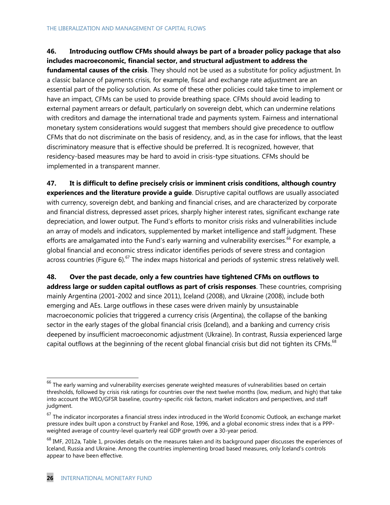#### **46. Introducing outflow CFMs should always be part of a broader policy package that also includes macroeconomic, financial sector, and structural adjustment to address the**

**fundamental causes of the crisis**. They should not be used as a substitute for policy adjustment. In a classic balance of payments crisis, for example, fiscal and exchange rate adjustment are an essential part of the policy solution. As some of these other policies could take time to implement or have an impact, CFMs can be used to provide breathing space. CFMs should avoid leading to external payment arrears or default, particularly on sovereign debt, which can undermine relations with creditors and damage the international trade and payments system. Fairness and international monetary system considerations would suggest that members should give precedence to outflow CFMs that do not discriminate on the basis of residency, and, as in the case for inflows, that the least discriminatory measure that is effective should be preferred. It is recognized, however, that residency-based measures may be hard to avoid in crisis-type situations. CFMs should be implemented in a transparent manner.

**47. It is difficult to define precisely crisis or imminent crisis conditions, although country experiences and the literature provide a guide**. Disruptive capital outflows are usually associated with currency, sovereign debt, and banking and financial crises, and are characterized by corporate and financial distress, depressed asset prices, sharply higher interest rates, significant exchange rate depreciation, and lower output. The Fund's efforts to monitor crisis risks and vulnerabilities include an array of models and indicators, supplemented by market intelligence and staff judgment. These efforts are amalgamated into the Fund's early warning and vulnerability exercises.<sup>66</sup> For example, a global financial and economic stress indicator identifies periods of severe stress and contagion across countries (Figure 6).<sup>67</sup> The index maps historical and periods of systemic stress relatively well.

**48. Over the past decade, only a few countries have tightened CFMs on outflows to address large or sudden capital outflows as part of crisis responses**. These countries, comprising mainly Argentina (2001-2002 and since 2011), Iceland (2008), and Ukraine (2008), include both emerging and AEs. Large outflows in these cases were driven mainly by unsustainable macroeconomic policies that triggered a currency crisis (Argentina), the collapse of the banking sector in the early stages of the global financial crisis (Iceland), and a banking and currency crisis deepened by insufficient macroeconomic adjustment (Ukraine). In contrast, Russia experienced large capital outflows at the beginning of the recent global financial crisis but did not tighten its CFMs.<sup>68</sup>

 $^{66}$  The early warning and vulnerability exercises generate weighted measures of vulnerabilities based on certain thresholds, followed by crisis risk ratings for countries over the next twelve months (low, medium, and high) that take into account the WEO/GFSR baseline, country-specific risk factors, market indicators and perspectives, and staff judgment.

 $67$  The indicator incorporates a financial stress index introduced in the World Economic Outlook, an exchange market pressure index built upon a construct by Frankel and Rose, 1996, and a global economic stress index that is a PPPweighted average of country-level quarterly real GDP growth over a 30-year period.

 $^{68}$  IMF, 2012a, Table 1, provides details on the measures taken and its background paper discusses the experiences of Iceland, Russia and Ukraine. Among the countries implementing broad based measures, only Iceland's controls appear to have been effective.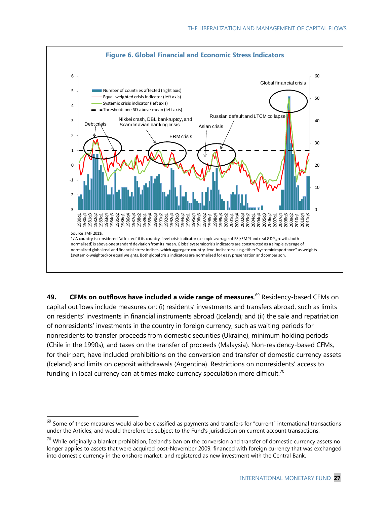

**49. CFMs on outflows have included a wide range of measures**. <sup>69</sup> Residency-based CFMs on capital outflows include measures on: (i) residents' investments and transfers abroad, such as limits on residents' investments in financial instruments abroad (Iceland); and (ii) the sale and repatriation of nonresidents' investments in the country in foreign currency, such as waiting periods for nonresidents to transfer proceeds from domestic securities (Ukraine), minimum holding periods (Chile in the 1990s), and taxes on the transfer of proceeds (Malaysia). Non-residency-based CFMs, for their part, have included prohibitions on the conversion and transfer of domestic currency assets (Iceland) and limits on deposit withdrawals (Argentina). Restrictions on nonresidents' access to funding in local currency can at times make currency speculation more difficult.<sup>70</sup>

 $^{69}$  Some of these measures would also be classified as payments and transfers for "current" international transactions under the Articles, and would therefore be subject to the Fund's jurisdiction on current account transactions.

 $^{70}$  While originally a blanket prohibition, Iceland's ban on the conversion and transfer of domestic currency assets no longer applies to assets that were acquired post-November 2009, financed with foreign currency that was exchanged into domestic currency in the onshore market, and registered as new investment with the Central Bank.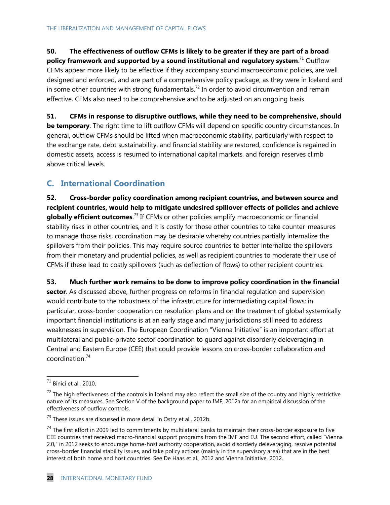## **50. The effectiveness of outflow CFMs is likely to be greater if they are part of a broad**

**policy framework and supported by a sound institutional and regulatory system**. <sup>71</sup> Outflow CFMs appear more likely to be effective if they accompany sound macroeconomic policies, are well designed and enforced, and are part of a comprehensive policy package, as they were in Iceland and in some other countries with strong fundamentals.<sup>72</sup> In order to avoid circumvention and remain effective, CFMs also need to be comprehensive and to be adjusted on an ongoing basis.

**51. CFMs in response to disruptive outflows, while they need to be comprehensive, should be temporary**. The right time to lift outflow CFMs will depend on specific country circumstances. In general, outflow CFMs should be lifted when macroeconomic stability, particularly with respect to the exchange rate, debt sustainability, and financial stability are restored, confidence is regained in domestic assets, access is resumed to international capital markets, and foreign reserves climb above critical levels.

### **C. International Coordination**

**52. Cross-border policy coordination among recipient countries, and between source and recipient countries, would help to mitigate undesired spillover effects of policies and achieve globally efficient outcomes**. <sup>73</sup> If CFMs or other policies amplify macroeconomic or financial stability risks in other countries, and it is costly for those other countries to take counter-measures to manage those risks, coordination may be desirable whereby countries partially internalize the spillovers from their policies. This may require source countries to better internalize the spillovers from their monetary and prudential policies, as well as recipient countries to moderate their use of CFMs if these lead to costly spillovers (such as deflection of flows) to other recipient countries.

**53. Much further work remains to be done to improve policy coordination in the financial sector**. As discussed above, further progress on reforms in financial regulation and supervision would contribute to the robustness of the infrastructure for intermediating capital flows; in particular, cross-border cooperation on resolution plans and on the treatment of global systemically important financial institutions is at an early stage and many jurisdictions still need to address weaknesses in supervision. The European Coordination "Vienna Initiative" is an important effort at multilateral and public-private sector coordination to guard against disorderly deleveraging in Central and Eastern Europe (CEE) that could provide lessons on cross-border collaboration and coordination.<sup>74</sup>

 $^{71}$  Binici et al., 2010.

 $72$  The high effectiveness of the controls in Iceland may also reflect the small size of the country and highly restrictive nature of its measures. See Section V of the background paper to IMF, 2012a for an empirical discussion of the effectiveness of outflow controls.

 $^{73}$  These issues are discussed in more detail in Ostry et al., 2012b.

 $74$  The first effort in 2009 led to commitments by multilateral banks to maintain their cross-border exposure to five CEE countries that received macro-financial support programs from the IMF and EU. The second effort, called "Vienna 2.0," in 2012 seeks to encourage home-host authority cooperation, avoid disorderly deleveraging, resolve potential cross-border financial stability issues, and take policy actions (mainly in the supervisory area) that are in the best interest of both home and host countries. See De Haas et al., 2012 and Vienna Initiative, 2012.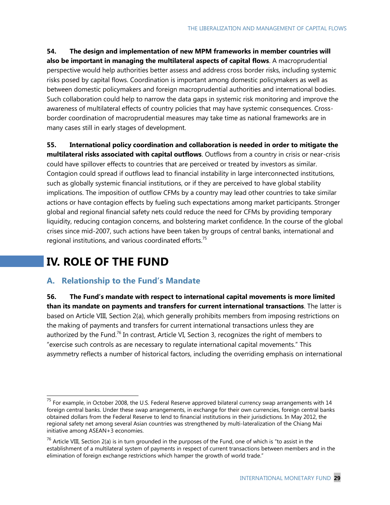**54. The design and implementation of new MPM frameworks in member countries will also be important in managing the multilateral aspects of capital flows**. A macroprudential perspective would help authorities better assess and address cross border risks, including systemic risks posed by capital flows. Coordination is important among domestic policymakers as well as between domestic policymakers and foreign macroprudential authorities and international bodies. Such collaboration could help to narrow the data gaps in systemic risk monitoring and improve the awareness of multilateral effects of country policies that may have systemic consequences. Crossborder coordination of macroprudential measures may take time as national frameworks are in many cases still in early stages of development.

**55. International policy coordination and collaboration is needed in order to mitigate the multilateral risks associated with capital outflows**. Outflows from a country in crisis or near-crisis could have spillover effects to countries that are perceived or treated by investors as similar. Contagion could spread if outflows lead to financial instability in large interconnected institutions, such as globally systemic financial institutions, or if they are perceived to have global stability implications. The imposition of outflow CFMs by a country may lead other countries to take similar actions or have contagion effects by fueling such expectations among market participants. Stronger global and regional financial safety nets could reduce the need for CFMs by providing temporary liquidity, reducing contagion concerns, and bolstering market confidence. In the course of the global crises since mid-2007, such actions have been taken by groups of central banks, international and regional institutions, and various coordinated efforts.<sup>75</sup>

# **IV. ROLE OF THE FUND**

 $\overline{a}$ 

## **A. Relationship to the Fund's Mandate**

**56. The Fund's mandate with respect to international capital movements is more limited than its mandate on payments and transfers for current international transactions**. The latter is based on Article VIII, Section 2(a), which generally prohibits members from imposing restrictions on the making of payments and transfers for current international transactions unless they are authorized by the Fund.<sup>76</sup> In contrast, Article VI, Section 3, recognizes the right of members to "exercise such controls as are necessary to regulate international capital movements." This asymmetry reflects a number of historical factors, including the overriding emphasis on international

 $^{75}$  For example, in October 2008, the U.S. Federal Reserve approved bilateral currency swap arrangements with 14 foreign central banks. Under these swap arrangements, in exchange for their own currencies, foreign central banks obtained dollars from the Federal Reserve to lend to financial institutions in their jurisdictions. In May 2012, the regional safety net among several Asian countries was strengthened by multi-lateralization of the Chiang Mai initiative among ASEAN+3 economies.

 $^{76}$  Article VIII, Section 2(a) is in turn grounded in the purposes of the Fund, one of which is "to assist in the establishment of a multilateral system of payments in respect of current transactions between members and in the elimination of foreign exchange restrictions which hamper the growth of world trade."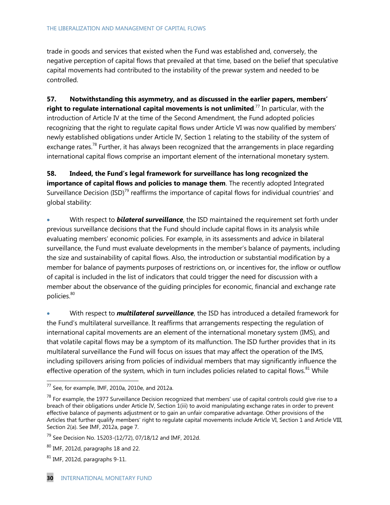trade in goods and services that existed when the Fund was established and, conversely, the negative perception of capital flows that prevailed at that time, based on the belief that speculative capital movements had contributed to the instability of the prewar system and needed to be controlled.

**57. Notwithstanding this asymmetry, and as discussed in the earlier papers, members' right to regulate international capital movements is not unlimited**. <sup>77</sup> In particular, with the introduction of Article IV at the time of the Second Amendment, the Fund adopted policies recognizing that the right to regulate capital flows under Article VI was now qualified by members' newly established obligations under Article IV, Section 1 relating to the stability of the system of exchange rates.<sup>78</sup> Further, it has always been recognized that the arrangements in place regarding international capital flows comprise an important element of the international monetary system.

**58. Indeed, the Fund's legal framework for surveillance has long recognized the importance of capital flows and policies to manage them**. The recently adopted Integrated Surveillance Decision (ISD)<sup>79</sup> reaffirms the importance of capital flows for individual countries' and global stability:

 With respect to *bilateral surveillance*, the ISD maintained the requirement set forth under previous surveillance decisions that the Fund should include capital flows in its analysis while evaluating members' economic policies. For example, in its assessments and advice in bilateral surveillance, the Fund must evaluate developments in the member's balance of payments, including the size and sustainability of capital flows. Also, the introduction or substantial modification by a member for balance of payments purposes of restrictions on, or incentives for, the inflow or outflow of capital is included in the list of indicators that could trigger the need for discussion with a member about the observance of the guiding principles for economic, financial and exchange rate policies.<sup>80</sup>

 With respect to *multilateral surveillance*, the ISD has introduced a detailed framework for the Fund's multilateral surveillance. It reaffirms that arrangements respecting the regulation of international capital movements are an element of the international monetary system (IMS), and that volatile capital flows may be a symptom of its malfunction. The ISD further provides that in its multilateral surveillance the Fund will focus on issues that may affect the operation of the IMS, including spillovers arising from policies of individual members that may significantly influence the effective operation of the system, which in turn includes policies related to capital flows.<sup>81</sup> While

 $^{77}$  See, for example, IMF, 2010a, 2010e, and 2012a.

 $78$  For example, the 1977 Surveillance Decision recognized that members' use of capital controls could give rise to a breach of their obligations under Article IV, Section 1(iii) to avoid manipulating exchange rates in order to prevent effective balance of payments adjustment or to gain an unfair comparative advantage. Other provisions of the Articles that further qualify members' right to regulate capital movements include Article VI, Section 1 and Article VIII, Section 2(a). See IMF, 2012a, page 7.

<sup>&</sup>lt;sup>79</sup> See Decision No. 15203-(12/72), 07/18/12 and IMF, 2012d.

<sup>80</sup> IMF, 2012d, paragraphs 18 and 22.

 $81$  IMF, 2012d, paragraphs 9-11.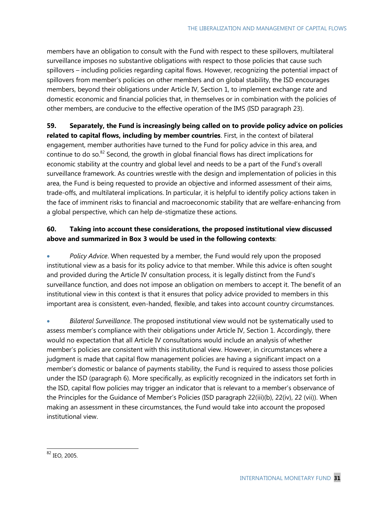members have an obligation to consult with the Fund with respect to these spillovers, multilateral surveillance imposes no substantive obligations with respect to those policies that cause such spillovers – including policies regarding capital flows. However, recognizing the potential impact of spillovers from member's policies on other members and on global stability, the ISD encourages members, beyond their obligations under Article IV, Section 1, to implement exchange rate and domestic economic and financial policies that, in themselves or in combination with the policies of other members, are conducive to the effective operation of the IMS (ISD paragraph 23).

**59. Separately, the Fund is increasingly being called on to provide policy advice on policies related to capital flows, including by member countries**. First, in the context of bilateral engagement, member authorities have turned to the Fund for policy advice in this area, and continue to do so. $82$  Second, the growth in global financial flows has direct implications for economic stability at the country and global level and needs to be a part of the Fund's overall surveillance framework. As countries wrestle with the design and implementation of policies in this area, the Fund is being requested to provide an objective and informed assessment of their aims, trade-offs, and multilateral implications. In particular, it is helpful to identify policy actions taken in the face of imminent risks to financial and macroeconomic stability that are welfare-enhancing from a global perspective, which can help de-stigmatize these actions.

### **60. Taking into account these considerations, the proposed institutional view discussed above and summarized in Box 3 would be used in the following contexts**:

 *Policy Advice*. When requested by a member, the Fund would rely upon the proposed institutional view as a basis for its policy advice to that member. While this advice is often sought and provided during the Article IV consultation process, it is legally distinct from the Fund's surveillance function, and does not impose an obligation on members to accept it. The benefit of an institutional view in this context is that it ensures that policy advice provided to members in this important area is consistent, even-handed, flexible, and takes into account country circumstances.

 *Bilateral Surveillance*. The proposed institutional view would not be systematically used to assess member's compliance with their obligations under Article IV, Section 1. Accordingly, there would no expectation that all Article IV consultations would include an analysis of whether member's policies are consistent with this institutional view. However, in circumstances where a judgment is made that capital flow management policies are having a significant impact on a member's domestic or balance of payments stability, the Fund is required to assess those policies under the ISD (paragraph 6). More specifically, as explicitly recognized in the indicators set forth in the ISD, capital flow policies may trigger an indicator that is relevant to a member's observance of the Principles for the Guidance of Member's Policies (ISD paragraph 22(iii)(b), 22(iv), 22 (vii)). When making an assessment in these circumstances, the Fund would take into account the proposed institutional view.

 $\overline{a}$ <sup>82</sup> IEO, 2005.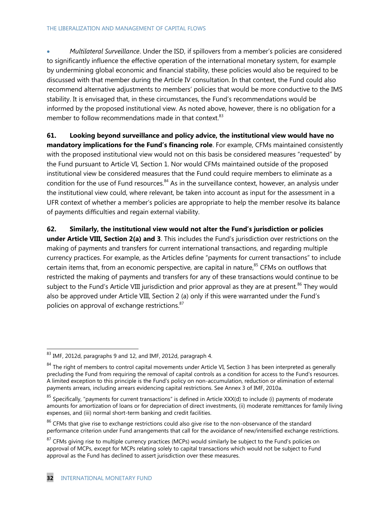*Multilateral Surveillance*. Under the ISD, if spillovers from a member's policies are considered to significantly influence the effective operation of the international monetary system, for example by undermining global economic and financial stability, these policies would also be required to be discussed with that member during the Article IV consultation. In that context, the Fund could also recommend alternative adjustments to members' policies that would be more conductive to the IMS stability. It is envisaged that, in these circumstances, the Fund's recommendations would be informed by the proposed institutional view. As noted above, however, there is no obligation for a member to follow recommendations made in that context. $83$ 

**61. Looking beyond surveillance and policy advice, the institutional view would have no mandatory implications for the Fund's financing role**. For example, CFMs maintained consistently with the proposed institutional view would not on this basis be considered measures "requested" by the Fund pursuant to Article VI, Section 1. Nor would CFMs maintained outside of the proposed institutional view be considered measures that the Fund could require members to eliminate as a condition for the use of Fund resources.<sup>84</sup> As in the surveillance context, however, an analysis under the institutional view could, where relevant, be taken into account as input for the assessment in a UFR context of whether a member's policies are appropriate to help the member resolve its balance of payments difficulties and regain external viability.

**62. Similarly, the institutional view would not alter the Fund's jurisdiction or policies under Article VIII, Section 2(a) and 3**. This includes the Fund's jurisdiction over restrictions on the making of payments and transfers for current international transactions, and regarding multiple currency practices. For example, as the Articles define "payments for current transactions" to include certain items that, from an economic perspective, are capital in nature, $85$  CFMs on outflows that restricted the making of payments and transfers for any of these transactions would continue to be subject to the Fund's Article VIII jurisdiction and prior approval as they are at present.<sup>86</sup> They would also be approved under Article VIII, Section 2 (a) only if this were warranted under the Fund's policies on approval of exchange restrictions.<sup>87</sup>

 $83$  IMF, 2012d, paragraphs 9 and 12, and IMF, 2012d, paragraph 4.

 $84$  The right of members to control capital movements under Article VI, Section 3 has been interpreted as generally precluding the Fund from requiring the removal of capital controls as a condition for access to the Fund's resources. A limited exception to this principle is the Fund's policy on non-accumulation, reduction or elimination of external payments arrears, including arrears evidencing capital restrictions. See Annex 3 of IMF, 2010a.

 $85$  Specifically, "payments for current transactions" is defined in Article XXX(d) to include (i) payments of moderate amounts for amortization of loans or for depreciation of direct investments, (ii) moderate remittances for family living expenses, and (iii) normal short-term banking and credit facilities.

 $86$  CFMs that give rise to exchange restrictions could also give rise to the non-observance of the standard performance criterion under Fund arrangements that call for the avoidance of new/intensified exchange restrictions.

<sup>&</sup>lt;sup>87</sup> CFMs giving rise to multiple currency practices (MCPs) would similarly be subject to the Fund's policies on approval of MCPs, except for MCPs relating solely to capital transactions which would not be subject to Fund approval as the Fund has declined to assert jurisdiction over these measures.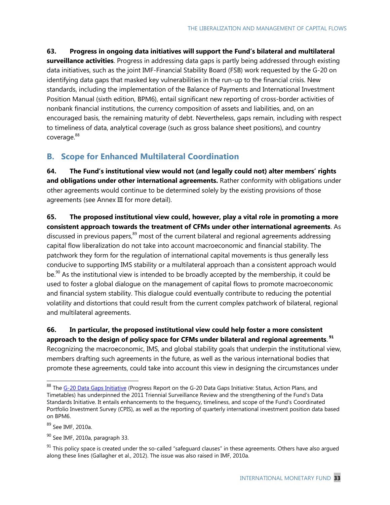**63. Progress in ongoing data initiatives will support the Fund's bilateral and multilateral surveillance activities**. Progress in addressing data gaps is partly being addressed through existing data initiatives, such as the joint IMF-Financial Stability Board (FSB) work requested by the G-20 on identifying data gaps that masked key vulnerabilities in the run-up to the financial crisis. New standards, including the implementation of the Balance of Payments and International Investment Position Manual (sixth edition, BPM6), entail significant new reporting of cross-border activities of nonbank financial institutions, the currency composition of assets and liabilities, and, on an encouraged basis, the remaining maturity of debt. Nevertheless, gaps remain, including with respect to timeliness of data, analytical coverage (such as gross balance sheet positions), and country coverage.<sup>88</sup>

## **B. Scope for Enhanced Multilateral Coordination**

**64. The Fund's institutional view would not (and legally could not) alter members' rights and obligations under other international agreements.** Rather conformity with obligations under other agreements would continue to be determined solely by the existing provisions of those agreements (see Annex III for more detail).

**65. The proposed institutional view could, however, play a vital role in promoting a more consistent approach towards the treatment of CFMs under other international agreements**. As discussed in previous papers,<sup>89</sup> most of the current bilateral and regional agreements addressing capital flow liberalization do not take into account macroeconomic and financial stability. The patchwork they form for the regulation of international capital movements is thus generally less conducive to supporting IMS stability or a multilateral approach than a consistent approach would be.<sup>90</sup> As the institutional view is intended to be broadly accepted by the membership, it could be used to foster a global dialogue on the management of capital flows to promote macroeconomic and financial system stability. This dialogue could eventually contribute to reducing the potential volatility and distortions that could result from the current complex patchwork of bilateral, regional and multilateral agreements.

**66. In particular, the proposed institutional view could help foster a more consistent approach to the design of policy space for CFMs under bilateral and regional agreements**. **91**

Recognizing the macroeconomic, IMS, and global stability goals that underpin the institutional view, members drafting such agreements in the future, as well as the various international bodies that promote these agreements, could take into account this view in designing the circumstances under

<sup>89</sup> See IMF, 2010a.

<sup>88</sup> The [G-20 Data Gaps Initiative](http://www.imf.org/external/np/g20/pdf/093012.pdf) (Progress Report on the G-20 Data Gaps Initiative: Status, Action Plans, and Timetables) has underpinned the 2011 Triennial Surveillance Review and the strengthening of the Fund's Data Standards Initiative. It entails enhancements to the frequency, timeliness, and scope of the Fund's Coordinated Portfolio Investment Survey (CPIS), as well as the reporting of quarterly international investment position data based on BPM6.

 $90$  See IMF, 2010a, paragraph 33.

 $91$  This policy space is created under the so-called "safeguard clauses" in these agreements. Others have also argued along these lines (Gallagher et al., 2012). The issue was also raised in IMF, 2010a.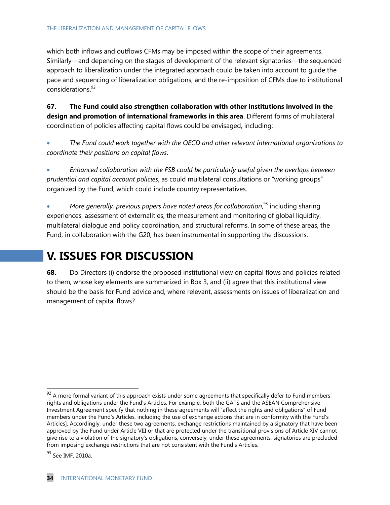#### THE LIBERALIZATION AND MANAGEMENT OF CAPITAL FLOWS

which both inflows and outflows CFMs may be imposed within the scope of their agreements. Similarly—and depending on the stages of development of the relevant signatories—the sequenced approach to liberalization under the integrated approach could be taken into account to guide the pace and sequencing of liberalization obligations, and the re-imposition of CFMs due to institutional considerations.<sup>92</sup>

**67. The Fund could also strengthen collaboration with other institutions involved in the design and promotion of international frameworks in this area**. Different forms of multilateral coordination of policies affecting capital flows could be envisaged, including:

 *The Fund could work together with the OECD and other relevant international organizations to coordinate their positions on capital flows*.

 *Enhanced collaboration with the FSB could be particularly useful given the overlaps between prudential and capital account policies*, as could multilateral consultations or "working groups" organized by the Fund, which could include country representatives.

• More generally, previous papers have noted areas for collaboration,<sup>93</sup> including sharing experiences, assessment of externalities, the measurement and monitoring of global liquidity, multilateral dialogue and policy coordination, and structural reforms. In some of these areas, the Fund, in collaboration with the G20, has been instrumental in supporting the discussions.

# **V. ISSUES FOR DISCUSSION**

**68.** Do Directors (i) endorse the proposed institutional view on capital flows and policies related to them, whose key elements are summarized in Box 3, and (ii) agree that this institutional view should be the basis for Fund advice and, where relevant, assessments on issues of liberalization and management of capital flows?

 $^{92}$  A more formal variant of this approach exists under some agreements that specifically defer to Fund members' rights and obligations under the Fund's Articles. For example, both the GATS and the ASEAN Comprehensive Investment Agreement specify that nothing in these agreements will "affect the rights and obligations" of Fund members under the Fund's Articles, including the use of exchange actions that are in conformity with the Fund's Articles]. Accordingly, under these two agreements, exchange restrictions maintained by a signatory that have been approved by the Fund under Article VIII or that are protected under the transitional provisions of Article XIV cannot give rise to a violation of the signatory's obligations; conversely, under these agreements, signatories are precluded from imposing exchange restrictions that are not consistent with the Fund's Articles.

<sup>&</sup>lt;sup>93</sup> See IMF, 2010a.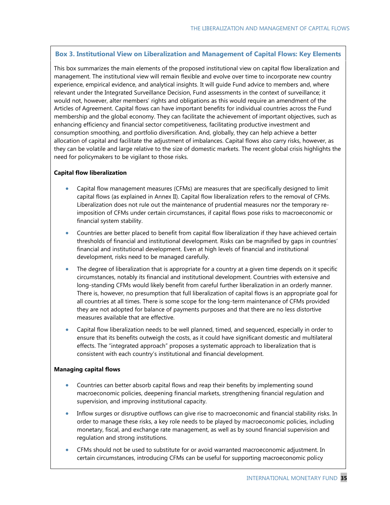#### **Box 3. Institutional View on Liberalization and Management of Capital Flows: Key Elements**

This box summarizes the main elements of the proposed institutional view on capital flow liberalization and management. The institutional view will remain flexible and evolve over time to incorporate new country experience, empirical evidence, and analytical insights. It will guide Fund advice to members and, where relevant under the Integrated Surveillance Decision, Fund assessments in the context of surveillance; it would not, however, alter members' rights and obligations as this would require an amendment of the Articles of Agreement. Capital flows can have important benefits for individual countries across the Fund membership and the global economy. They can facilitate the achievement of important objectives, such as enhancing efficiency and financial sector competitiveness, facilitating productive investment and consumption smoothing, and portfolio diversification. And, globally, they can help achieve a better allocation of capital and facilitate the adjustment of imbalances. Capital flows also carry risks, however, as they can be volatile and large relative to the size of domestic markets. The recent global crisis highlights the need for policymakers to be vigilant to those risks.

#### **Capital flow liberalization**

- Capital flow management measures (CFMs) are measures that are specifically designed to limit capital flows (as explained in Annex II). Capital flow liberalization refers to the removal of CFMs. Liberalization does not rule out the maintenance of prudential measures nor the temporary reimposition of CFMs under certain circumstances, if capital flows pose risks to macroeconomic or financial system stability.
- Countries are better placed to benefit from capital flow liberalization if they have achieved certain thresholds of financial and institutional development. Risks can be magnified by gaps in countries' financial and institutional development. Even at high levels of financial and institutional development, risks need to be managed carefully.
- The degree of liberalization that is appropriate for a country at a given time depends on it specific circumstances, notably its financial and institutional development. Countries with extensive and long-standing CFMs would likely benefit from careful further liberalization in an orderly manner. There is, however, no presumption that full liberalization of capital flows is an appropriate goal for all countries at all times. There is some scope for the long-term maintenance of CFMs provided they are not adopted for balance of payments purposes and that there are no less distortive measures available that are effective.
- Capital flow liberalization needs to be well planned, timed, and sequenced, especially in order to ensure that its benefits outweigh the costs, as it could have significant domestic and multilateral effects. The "integrated approach" proposes a systematic approach to liberalization that is consistent with each country's institutional and financial development.

#### **Managing capital flows**

- Countries can better absorb capital flows and reap their benefits by implementing sound macroeconomic policies, deepening financial markets, strengthening financial regulation and supervision, and improving institutional capacity.
- Inflow surges or disruptive outflows can give rise to macroeconomic and financial stability risks. In order to manage these risks, a key role needs to be played by macroeconomic policies, including monetary, fiscal, and exchange rate management, as well as by sound financial supervision and regulation and strong institutions.
- CFMs should not be used to substitute for or avoid warranted macroeconomic adjustment. In certain circumstances, introducing CFMs can be useful for supporting macroeconomic policy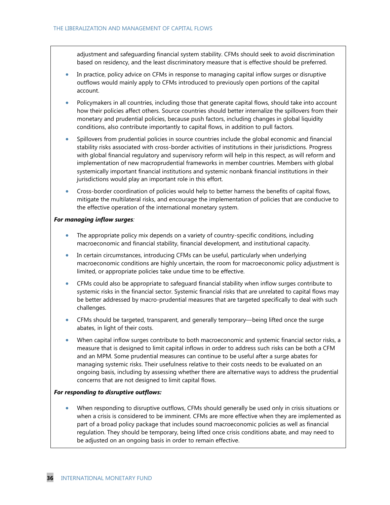adjustment and safeguarding financial system stability. CFMs should seek to avoid discrimination based on residency, and the least discriminatory measure that is effective should be preferred.

- In practice, policy advice on CFMs in response to managing capital inflow surges or disruptive outflows would mainly apply to CFMs introduced to previously open portions of the capital account.
- Policymakers in all countries, including those that generate capital flows, should take into account how their policies affect others. Source countries should better internalize the spillovers from their monetary and prudential policies, because push factors, including changes in global liquidity conditions, also contribute importantly to capital flows, in addition to pull factors.
- Spillovers from prudential policies in source countries include the global economic and financial stability risks associated with cross-border activities of institutions in their jurisdictions. Progress with global financial regulatory and supervisory reform will help in this respect, as will reform and implementation of new macroprudential frameworks in member countries. Members with global systemically important financial institutions and systemic nonbank financial institutions in their jurisdictions would play an important role in this effort.
- Cross-border coordination of policies would help to better harness the benefits of capital flows, mitigate the multilateral risks, and encourage the implementation of policies that are conducive to the effective operation of the international monetary system.

#### *For managing inflow surges:*

- The appropriate policy mix depends on a variety of country-specific conditions, including macroeconomic and financial stability, financial development, and institutional capacity.
- In certain circumstances, introducing CFMs can be useful, particularly when underlying macroeconomic conditions are highly uncertain, the room for macroeconomic policy adjustment is limited, or appropriate policies take undue time to be effective.
- CFMs could also be appropriate to safeguard financial stability when inflow surges contribute to systemic risks in the financial sector. Systemic financial risks that are unrelated to capital flows may be better addressed by macro-prudential measures that are targeted specifically to deal with such challenges.
- CFMs should be targeted, transparent, and generally temporary—being lifted once the surge abates, in light of their costs.
- When capital inflow surges contribute to both macroeconomic and systemic financial sector risks, a measure that is designed to limit capital inflows in order to address such risks can be both a CFM and an MPM. Some prudential measures can continue to be useful after a surge abates for managing systemic risks. Their usefulness relative to their costs needs to be evaluated on an ongoing basis, including by assessing whether there are alternative ways to address the prudential concerns that are not designed to limit capital flows.

#### *For responding to disruptive outflows:*

 When responding to disruptive outflows, CFMs should generally be used only in crisis situations or when a crisis is considered to be imminent. CFMs are more effective when they are implemented as part of a broad policy package that includes sound macroeconomic policies as well as financial regulation. They should be temporary, being lifted once crisis conditions abate, and may need to be adjusted on an ongoing basis in order to remain effective.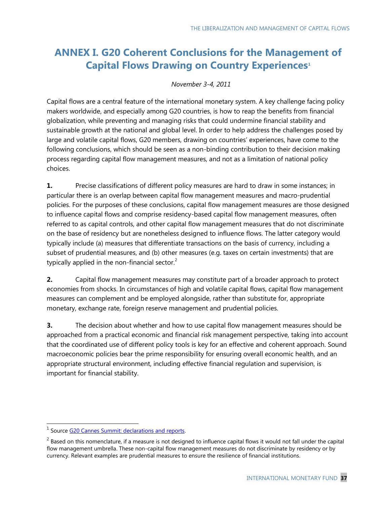# **ANNEX I. G20 Coherent Conclusions for the Management of Capital Flows Drawing on Country Experiences<sup>1</sup>**

#### *November 3-4, 2011*

Capital flows are a central feature of the international monetary system. A key challenge facing policy makers worldwide, and especially among G20 countries, is how to reap the benefits from financial globalization, while preventing and managing risks that could undermine financial stability and sustainable growth at the national and global level. In order to help address the challenges posed by large and volatile capital flows, G20 members, drawing on countries' experiences, have come to the following conclusions, which should be seen as a non-binding contribution to their decision making process regarding capital flow management measures, and not as a limitation of national policy choices.

**1.** Precise classifications of different policy measures are hard to draw in some instances; in particular there is an overlap between capital flow management measures and macro-prudential policies. For the purposes of these conclusions, capital flow management measures are those designed to influence capital flows and comprise residency-based capital flow management measures, often referred to as capital controls, and other capital flow management measures that do not discriminate on the base of residency but are nonetheless designed to influence flows. The latter category would typically include (a) measures that differentiate transactions on the basis of currency, including a subset of prudential measures, and (b) other measures (e.g. taxes on certain investments) that are typically applied in the non-financial sector. $2$ 

**2.** Capital flow management measures may constitute part of a broader approach to protect economies from shocks. In circumstances of high and volatile capital flows, capital flow management measures can complement and be employed alongside, rather than substitute for, appropriate monetary, exchange rate, foreign reserve management and prudential policies.

**3.** The decision about whether and how to use capital flow management measures should be approached from a practical economic and financial risk management perspective, taking into account that the coordinated use of different policy tools is key for an effective and coherent approach. Sound macroeconomic policies bear the prime responsibility for ensuring overall economic health, and an appropriate structural environment, including effective financial regulation and supervision, is important for financial stability.

<sup>&</sup>lt;u>Land Communistiese</u><br><sup>1</sup> Source <u>G20 Cannes Summit: declarations and reports</u>.

 $^2$  Based on this nomenclature, if a measure is not designed to influence capital flows it would not fall under the capital flow management umbrella. These non-capital flow management measures do not discriminate by residency or by currency. Relevant examples are prudential measures to ensure the resilience of financial institutions.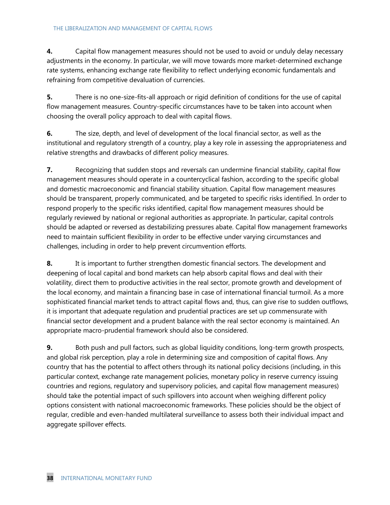**4.** Capital flow management measures should not be used to avoid or unduly delay necessary adjustments in the economy. In particular, we will move towards more market-determined exchange rate systems, enhancing exchange rate flexibility to reflect underlying economic fundamentals and refraining from competitive devaluation of currencies.

**5.** There is no one-size-fits-all approach or rigid definition of conditions for the use of capital flow management measures. Country-specific circumstances have to be taken into account when choosing the overall policy approach to deal with capital flows.

**6.** The size, depth, and level of development of the local financial sector, as well as the institutional and regulatory strength of a country, play a key role in assessing the appropriateness and relative strengths and drawbacks of different policy measures.

**7.** Recognizing that sudden stops and reversals can undermine financial stability, capital flow management measures should operate in a countercyclical fashion, according to the specific global and domestic macroeconomic and financial stability situation. Capital flow management measures should be transparent, properly communicated, and be targeted to specific risks identified. In order to respond properly to the specific risks identified, capital flow management measures should be regularly reviewed by national or regional authorities as appropriate. In particular, capital controls should be adapted or reversed as destabilizing pressures abate. Capital flow management frameworks need to maintain sufficient flexibility in order to be effective under varying circumstances and challenges, including in order to help prevent circumvention efforts.

**8.** It is important to further strengthen domestic financial sectors. The development and deepening of local capital and bond markets can help absorb capital flows and deal with their volatility, direct them to productive activities in the real sector, promote growth and development of the local economy, and maintain a financing base in case of international financial turmoil. As a more sophisticated financial market tends to attract capital flows and, thus, can give rise to sudden outflows, it is important that adequate regulation and prudential practices are set up commensurate with financial sector development and a prudent balance with the real sector economy is maintained. An appropriate macro-prudential framework should also be considered.

**9.** Both push and pull factors, such as global liquidity conditions, long-term growth prospects, and global risk perception, play a role in determining size and composition of capital flows. Any country that has the potential to affect others through its national policy decisions (including, in this particular context, exchange rate management policies, monetary policy in reserve currency issuing countries and regions, regulatory and supervisory policies, and capital flow management measures) should take the potential impact of such spillovers into account when weighing different policy options consistent with national macroeconomic frameworks. These policies should be the object of regular, credible and even-handed multilateral surveillance to assess both their individual impact and aggregate spillover effects.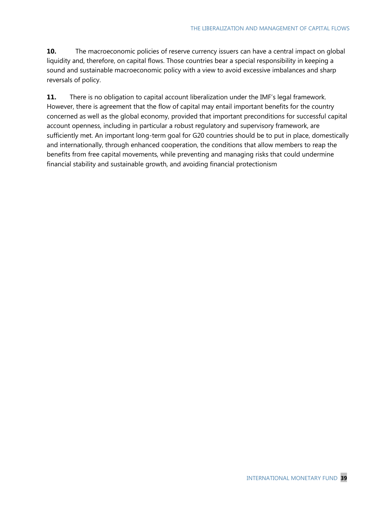**10.** The macroeconomic policies of reserve currency issuers can have a central impact on global liquidity and, therefore, on capital flows. Those countries bear a special responsibility in keeping a sound and sustainable macroeconomic policy with a view to avoid excessive imbalances and sharp reversals of policy.

**11.** There is no obligation to capital account liberalization under the IMF's legal framework. However, there is agreement that the flow of capital may entail important benefits for the country concerned as well as the global economy, provided that important preconditions for successful capital account openness, including in particular a robust regulatory and supervisory framework, are sufficiently met. An important long-term goal for G20 countries should be to put in place, domestically and internationally, through enhanced cooperation, the conditions that allow members to reap the benefits from free capital movements, while preventing and managing risks that could undermine financial stability and sustainable growth, and avoiding financial protectionism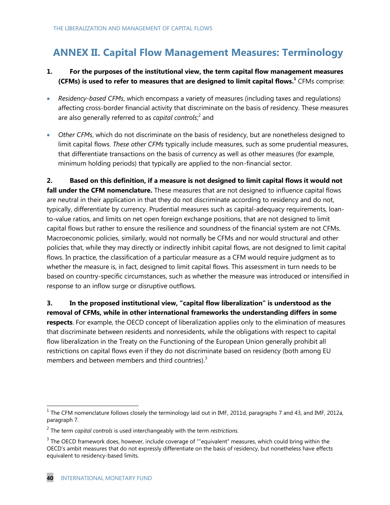# **ANNEX II. Capital Flow Management Measures: Terminology**

### **1. For the purposes of the institutional view, the term capital flow management measures**  (CFMs) is used to refer to measures that are designed to limit capital flows.<sup>1</sup> CFMs comprise:

- *Residency-based CFMs*, which encompass a variety of measures (including taxes and regulations) affecting cross-border financial activity that discriminate on the basis of residency. These measures are also generally referred to as *capital controls*;<sup>2</sup> and
- *Other CFMs*, which do not discriminate on the basis of residency, but are nonetheless designed to limit capital flows. *These other CFMs* typically include measures, such as some prudential measures, that differentiate transactions on the basis of currency as well as other measures (for example, minimum holding periods) that typically are applied to the non-financial sector.

**2. Based on this definition, if a measure is not designed to limit capital flows it would not fall under the CFM nomenclature.** These measures that are not designed to influence capital flows are neutral in their application in that they do not discriminate according to residency and do not, typically, differentiate by currency. Prudential measures such as capital-adequacy requirements, loanto-value ratios, and limits on net open foreign exchange positions, that are not designed to limit capital flows but rather to ensure the resilience and soundness of the financial system are not CFMs. Macroeconomic policies, similarly, would not normally be CFMs and nor would structural and other policies that, while they may directly or indirectly inhibit capital flows, are not designed to limit capital flows. In practice, the classification of a particular measure as a CFM would require judgment as to whether the measure is, in fact, designed to limit capital flows. This assessment in turn needs to be based on country-specific circumstances, such as whether the measure was introduced or intensified in response to an inflow surge or disruptive outflows.

**3. In the proposed institutional view, "capital flow liberalization" is understood as the removal of CFMs, while in other international frameworks the understanding differs in some respects**. For example, the OECD concept of liberalization applies only to the elimination of measures that discriminate between residents and nonresidents, while the obligations with respect to capital flow liberalization in the Treaty on the Functioning of the European Union generally prohibit all restrictions on capital flows even if they do not discriminate based on residency (both among EU members and between members and third countries). $3$ 

<sup>&</sup>lt;sup>1</sup> The CFM nomenclature follows closely the terminology laid out in IMF, 2011d, paragraphs 7 and 43, and IMF, 2012a, paragraph 7.

<sup>2</sup> The term *capital controls* is used interchangeably with the term *restrictions*.

 $3$  The OECD framework does, however, include coverage of ""equivalent" measures, which could bring within the OECD's ambit measures that do not expressly differentiate on the basis of residency, but nonetheless have effects equivalent to residency-based limits.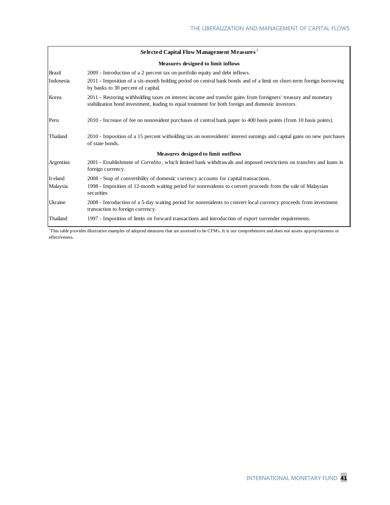|                                    | Selected Capital Flow Management Measures <sup>1</sup>                                                                                                                                                                |  |
|------------------------------------|-----------------------------------------------------------------------------------------------------------------------------------------------------------------------------------------------------------------------|--|
| Measures designed to limit inflows |                                                                                                                                                                                                                       |  |
| <b>Brazil</b>                      | 2009 - Introduction of a 2 percent tax on portfolio equity and debt inflows.                                                                                                                                          |  |
| Indonesia                          | 2011 - Imposition of a six-month holding period on central bank bonds and of a limit on short-term foreign borrowing<br>by banks to 30 percent of capital.                                                            |  |
| Korea                              | 2011 - Restoring withholding taxes on interest income and transfer gains from foreigners' treasury and monetary<br>stabilization bond investment, leading to equal treatment for both foreign and domestic investors. |  |
| Peru                               | 2010 - Increase of fee on nonresident purchases of central bank paper to 400 basis points (from 10 basis points).                                                                                                     |  |
| Thailand                           | 2010 - Imposition of a 15 percent witholding tax on nonresidents' interest earnings and capital gains on new purchases<br>of state bonds.                                                                             |  |
|                                    | <b>Measures designed to limit outflows</b>                                                                                                                                                                            |  |
| Argentina                          | 2001 - Establishment of <i>Corralito</i> , which limited bank withdrawals and imposed restrictions on transfers and loans in<br>foreign currency.                                                                     |  |
| Iceland                            | 2008 - Stop of convertibility of domestic currency accounts for capital transactions.                                                                                                                                 |  |
| Malaysia                           | 1998 - Imposition of 12-month waiting period for nonresidents to convert proceeds from the sale of Malaysian<br>securities                                                                                            |  |
| Ukraine                            | 2008 - Introduction of a 5-day waiting period for nonresidents to convert local currency proceeds from investment<br>transaction to foreign currency.                                                                 |  |
| Thailand                           | 1997 - Imposition of limits on forward transactions and introduction of export surrender requirements.                                                                                                                |  |

<sup>1</sup>This table provides illustrative examples of adopted measures that are assessed to be CFMs. It is not comprehensive and does not assess appropriateness or effectiveness.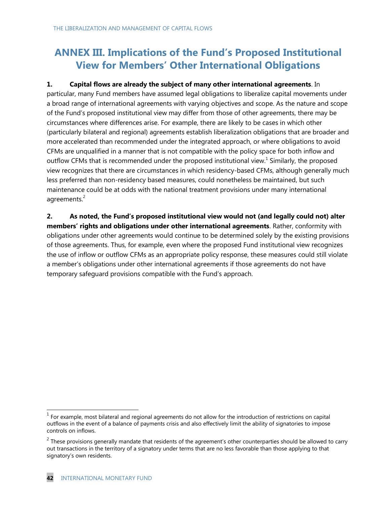# **ANNEX III. Implications of the Fund's Proposed Institutional View for Members' Other International Obligations**

### **1. Capital flows are already the subject of many other international agreements**. In

particular, many Fund members have assumed legal obligations to liberalize capital movements under a broad range of international agreements with varying objectives and scope. As the nature and scope of the Fund's proposed institutional view may differ from those of other agreements, there may be circumstances where differences arise. For example, there are likely to be cases in which other (particularly bilateral and regional) agreements establish liberalization obligations that are broader and more accelerated than recommended under the integrated approach, or where obligations to avoid CFMs are unqualified in a manner that is not compatible with the policy space for both inflow and outflow CFMs that is recommended under the proposed institutional view.<sup>1</sup> Similarly, the proposed view recognizes that there are circumstances in which residency-based CFMs, although generally much less preferred than non-residency based measures, could nonetheless be maintained, but such maintenance could be at odds with the national treatment provisions under many international agreements.<sup>2</sup>

**2. As noted, the Fund's proposed institutional view would not (and legally could not) alter members' rights and obligations under other international agreements**. Rather, conformity with obligations under other agreements would continue to be determined solely by the existing provisions of those agreements. Thus, for example, even where the proposed Fund institutional view recognizes the use of inflow or outflow CFMs as an appropriate policy response, these measures could still violate a member's obligations under other international agreements if those agreements do not have temporary safeguard provisions compatible with the Fund's approach.

 $<sup>1</sup>$  For example, most bilateral and regional agreements do not allow for the introduction of restrictions on capital</sup> outflows in the event of a balance of payments crisis and also effectively limit the ability of signatories to impose controls on inflows.

 $^2$  These provisions generally mandate that residents of the agreement's other counterparties should be allowed to carry out transactions in the territory of a signatory under terms that are no less favorable than those applying to that signatory's own residents.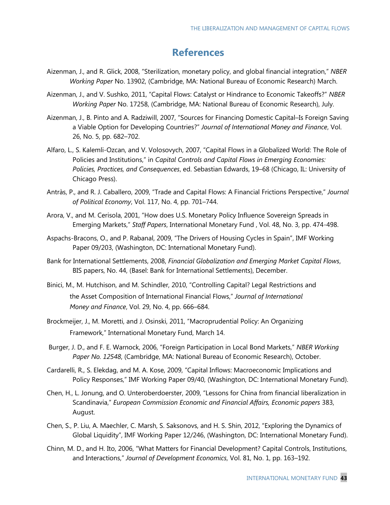## **References**

- Aizenman, J., and R. Glick, 2008, "Sterilization, monetary policy, and global financial integration," NBER *Working Paper* No. 13902, (Cambridge, MA: National Bureau of Economic Research) March.
- Aizenman, J., and V. Sushko, 2011, "Capital Flows: Catalyst or Hindrance to Economic Takeoffs?" NBER *Working Paper* No. 17258, (Cambridge, MA: National Bureau of Economic Research), July.
- Aizenman, J., B. Pinto and A. Radziwill, 2007, "Sources for Financing Domestic Capital–Is Foreign Saving a Viable Option for Developing Countries?‖ *Journal of International Money and Finance*, Vol. 26, No. 5, pp. 682–702.
- Alfaro, L., S. Kalemli-Ozcan, and V. Volosovych, 2007, "Capital Flows in a Globalized World: The Role of Policies and Institutions," in *Capital Controls and Capital Flows in Emerging Economies: Policies, Practices, and Consequences*, ed. Sebastian Edwards, 19–68 (Chicago, IL: University of Chicago Press).
- Antràs, P., and R. J. Caballero, 2009, "Trade and Capital Flows: A Financial Frictions Perspective," Journal *of Political Economy*, Vol. 117, No. 4, pp. 701–744.
- Arora, V., and M. Cerisola, 2001, "How does U.S. Monetary Policy Influence Sovereign Spreads in Emerging Markets,‖ *Staff Papers*, International Monetary Fund , Vol. 48, No. 3, pp. 474-498.
- Aspachs-Bracons, O., and P. Rabanal, 2009, "The Drivers of Housing Cycles in Spain", IMF Working Paper 09/203, (Washington, DC: International Monetary Fund).
- Bank for International Settlements, 2008, *Financial Globalization and Emerging Market Capital Flows*, BIS papers, No. 44, (Basel: Bank for International Settlements), December.
- Binici, M., M. Hutchison, and M. Schindler, 2010, "Controlling Capital? Legal Restrictions and the Asset Composition of International Financial Flows,‖ *Journal of International Money and Finance*, Vol. 29, No. 4, pp. 666–684.
- Brockmeijer, J., M. Moretti, and J. Osinski, 2011, "Macroprudential Policy: An Organizing Framework," International Monetary Fund, March 14.
- Burger, J. D., and F. E. Warnock, 2006, "Foreign Participation in Local Bond Markets," NBER Working *Paper No. 12548*, (Cambridge, MA: National Bureau of Economic Research), October.
- Cardarelli, R., S. Elekdag, and M. A. Kose, 2009, "Capital Inflows: Macroeconomic Implications and Policy Responses," IMF Working Paper 09/40, (Washington, DC: International Monetary Fund).
- Chen, H., L. Jonung, and O. Unteroberdoerster, 2009, "Lessons for China from financial liberalization in Scandinavia,‖ *European Commission Economic and Financial Affairs, Economic papers* 383, August.
- Chen, S., P. Liu, A. Maechler, C. Marsh, S. Saksonovs, and H. S. Shin, 2012, "Exploring the Dynamics of Global Liquidity", IMF Working Paper 12/246, (Washington, DC: International Monetary Fund).
- Chinn, M. D., and H. Ito, 2006, "What Matters for Financial Development? Capital Controls, Institutions, and Interactions,‖ *Journal of Development Economics*, Vol. 81, No. 1, pp. 163–192.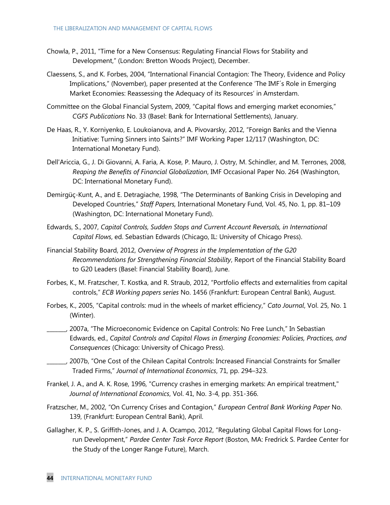- Chowla, P., 2011, "Time for a New Consensus: Regulating Financial Flows for Stability and Development," (London: Bretton Woods Project), December.
- Claessens, S., and K. Forbes, 2004, "International Financial Contagion: The Theory, Evidence and Policy Implications," (November), paper presented at the Conference 'The IMF's Role in Emerging Market Economies: Reassessing the Adequacy of its Resources' in Amsterdam.
- Committee on the Global Financial System, 2009, "Capital flows and emerging market economies," *CGFS Publications* No. 33 (Basel: Bank for International Settlements), January.
- De Haas, R., Y. Korniyenko, E. Loukoianova, and A. Pivovarsky, 2012, "Foreign Banks and the Vienna Initiative: Turning Sinners into Saints?" IMF Working Paper 12/117 (Washington, DC: International Monetary Fund).
- Dell'Ariccia, G., J. Di Giovanni, A. Faria, A. Kose, P. Mauro, J. Ostry, M. Schindler, and M. Terrones, 2008, *Reaping the Benefits of Financial Globalization*, IMF Occasional Paper No. 264 (Washington, DC: International Monetary Fund).
- Demirgüç-Kunt, A., and E. Detragiache, 1998, "The Determinants of Banking Crisis in Developing and Developed Countries,‖ *Staff Papers,* International Monetary Fund, Vol. 45, No. 1, pp. 81–109 (Washington, DC: International Monetary Fund).
- Edwards, S., 2007, *Capital Controls, Sudden Stops and Current Account Reversals, in International Capital Flows*, ed. Sebastian Edwards (Chicago, IL: University of Chicago Press).
- Financial Stability Board, 2012, *Overview of Progress in the Implementation of the G20 Recommendations for Strengthening Financial Stability*, Report of the Financial Stability Board to G20 Leaders (Basel: Financial Stability Board), June.
- Forbes, K., M. Fratzscher, T. Kostka, and R. Straub, 2012, "Portfolio effects and externalities from capital controls,‖ *ECB Working papers series* No. 1456 (Frankfurt: European Central Bank), August.
- Forbes, K., 2005, "Capital controls: mud in the wheels of market efficiency," *Cato Journal*, Vol. 25, No. 1 (Winter).
- \_\_\_\_\_\_\_, 2007a, ―The Microeconomic Evidence on Capital Controls: No Free Lunch,‖ In Sebastian Edwards, ed., *Capital Controls and Capital Flows in Emerging Economies: Policies, Practices, and Consequences* (Chicago: University of Chicago Press).

 $\Box$ , 2007b, "One Cost of the Chilean Capital Controls: Increased Financial Constraints for Smaller Traded Firms,‖ *Journal of International Economics*, 71, pp. 294–323.

- Frankel, J. A., and A. K. Rose, 1996, "Currency crashes in emerging markets: An empirical treatment," *Journal of International Economics*, Vol. 41, No. 3-4, pp. 351-366.
- Fratzscher, M., 2002, "On Currency Crises and Contagion," *European Central Bank Working Paper* No. 139, (Frankfurt: European Central Bank), April.
- Gallagher, K. P., S. Griffith-Jones, and J. A. Ocampo, 2012, "Regulating Global Capital Flows for Longrun Development,‖ *Pardee Center Task Force Report* (Boston, MA: Fredrick S. Pardee Center for the Study of the Longer Range Future), March.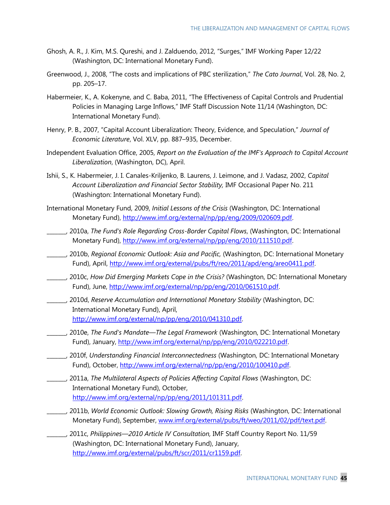- Ghosh, A. R., J. Kim, M.S. Qureshi, and J. Zalduendo, 2012, "Surges," IMF Working Paper 12/22 (Washington, DC: International Monetary Fund).
- Greenwood, J., 2008, "The costs and implications of PBC sterilization," The Cato Journal, Vol. 28, No. 2, pp. 205–17.
- Habermeier, K., A. Kokenyne, and C. Baba, 2011, "The Effectiveness of Capital Controls and Prudential Policies in Managing Large Inflows," IMF Staff Discussion Note 11/14 (Washington, DC: International Monetary Fund).
- Henry, P. B., 2007, "Capital Account Liberalization: Theory, Evidence, and Speculation," Journal of *Economic Literature*, Vol. XLV, pp. 887–935, December.
- Independent Evaluation Office, 2005, *Report on the Evaluation of the IMF's Approach to Capital Account Liberalization*, (Washington, DC), April.
- Ishii, S., K. Habermeier, J. I. Canales-Kriljenko, B. Laurens, J. Leimone, and J. Vadasz, 2002, *Capital Account Liberalization and Financial Sector Stability,* IMF Occasional Paper No. 211 (Washington: International Monetary Fund).
- International Monetary Fund, 2009, *Initial Lessons of the Crisis* (Washington, DC: International Monetary Fund), [http://www.imf.org/external/np/pp/eng/2009/020609.pdf.](http://www.imf.org/external/np/pp/eng/2009/020609.pdf)
- \_\_\_\_\_\_\_, 2010a, *The Fund's Role Regarding Cross-Border Capital Flows*, (Washington, DC: International Monetary Fund), [http://www.imf.org/external/np/pp/eng/2010/111510.pdf.](http://www.imf.org/external/np/pp/eng/2010/111510.pdf)
- \_\_\_\_\_\_\_, 2010b, *Regional Economic Outlook: Asia and Pacific,* (Washington, DC: International Monetary Fund), April, [http://www.imf.org/external/pubs/ft/reo/2011/apd/eng/areo0411.pdf.](http://www.imf.org/external/pubs/ft/reo/2011/apd/eng/areo0411.pdf)
- \_\_\_\_\_\_\_, 2010c, *How Did Emerging Markets Cope in the Crisis?* (Washington, DC: International Monetary Fund), June, [http://www.imf.org/external/np/pp/eng/2010/061510.pdf.](http://www.imf.org/external/np/pp/eng/2010/061510.pdf)
- \_\_\_\_\_\_\_, 2010d, *Reserve Accumulation and International Monetary Stability* (Washington, DC: International Monetary Fund), April, [http://www.imf.org/external/np/pp/eng/2010/041310.pdf.](http://www.imf.org/external/np/pp/eng/2010/041310.pdf)
- \_\_\_\_\_\_\_, 2010e, *The Fund's Mandate—The Legal Framework* (Washington, DC: International Monetary Fund), January, [http://www.imf.org/external/np/pp/eng/2010/022210.pdf.](http://www.imf.org/external/np/pp/eng/2010/022210.pdf)
- \_\_\_\_\_\_\_, 2010f, *Understanding Financial Interconnectedness* (Washington, DC: International Monetary Fund), October, [http://www.imf.org/external/np/pp/eng/2010/100410.pdf.](http://www.imf.org/external/np/pp/eng/2010/100410.pdf)
- \_\_\_\_\_\_\_, 2011a, *The Multilateral Aspects of Policies Affecting Capital Flows* (Washington, DC: International Monetary Fund), October, [http://www.imf.org/external/np/pp/eng/2011/101311.pdf.](http://www.imf.org/external/np/pp/eng/2011/101311.pdf)
- \_\_\_\_\_\_\_, 2011b, *World Economic Outlook: Slowing Growth, Rising Risks* (Washington, DC: International Monetary Fund), September, [www.imf.org/external/pubs/ft/weo/2011/02/pdf/text.pdf.](http://www.imf.org/external/pubs/ft/weo/2011/02/pdf/text.pdf)
- \_\_\_\_\_\_\_, 2011c, *Philippines—2010 Article IV Consultation,* IMF Staff Country Report No. 11/59 (Washington, DC: International Monetary Fund), January, [http://www.imf.org/external/pubs/ft/scr/2011/cr1159.pdf.](http://www.imf.org/external/pubs/ft/scr/2011/cr1159.pdf)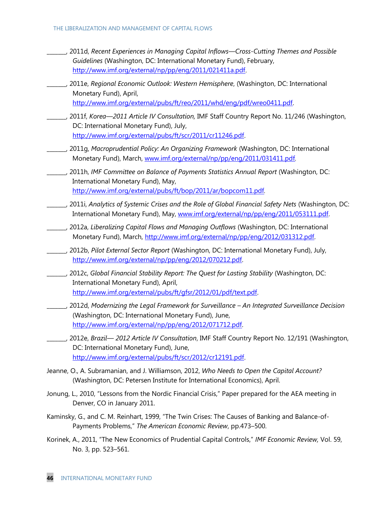- \_\_\_\_\_\_\_, 2011d, *Recent Experiences in Managing Capital Inflows—Cross-Cutting Themes and Possible Guidelines* (Washington, DC: International Monetary Fund), February, [http://www.imf.org/external/np/pp/eng/2011/021411a.pdf.](http://www.imf.org/external/np/pp/eng/2011/021411a.pdf)
- \_\_\_\_\_\_\_, 2011e, *Regional Economic Outlook: Western Hemisphere*, (Washington, DC: International Monetary Fund), April, [http://www.imf.org/external/pubs/ft/reo/2011/whd/eng/pdf/wreo0411.pdf.](http://www.imf.org/external/pubs/ft/reo/2011/whd/eng/pdf/wreo0411.pdf)
- \_\_\_\_\_\_\_, 2011f, *Korea—2011 Article IV Consultation,* IMF Staff Country Report No. 11/246 (Washington, DC: International Monetary Fund), July, [http://www.imf.org/external/pubs/ft/scr/2011/cr11246.pdf.](http://www.imf.org/external/pubs/ft/scr/2011/cr11246.pdf)
- \_\_\_\_\_\_\_, 2011g, *Macroprudential Policy: An Organizing Framework* (Washington, DC: International Monetary Fund), March, [www.imf.org/external/np/pp/eng/2011/031411.pdf](http://www.imf.org/external/np/pp/eng/2011/031411.pdf)*.*
- \_\_\_\_\_\_\_, 2011h, *IMF Committee on Balance of Payments Statistics Annual Report* (Washington, DC: International Monetary Fund), May, <http://www.imf.org/external/pubs/ft/bop/2011/ar/bopcom11.pdf>*.*
- \_\_\_\_\_\_\_, 2011i, *Analytics of Systemic Crises and the Role of Global Financial Safety Nets* (Washington, DC: International Monetary Fund), May, [www.imf.org/external/np/pp/eng/2011/053111.pdf.](http://www.imf.org/external/np/pp/eng/2011/053111.pdf)
- \_\_\_\_\_\_\_, 2012a, *Liberalizing Capital Flows and Managing Outflows* (Washington, DC: International Monetary Fund), March, [http://www.imf.org/external/np/pp/eng/2012/031312.pdf.](http://www.imf.org/external/np/pp/eng/2012/031312.pdf)
- \_\_\_\_\_\_\_, 2012b, *Pilot External Sector Report* (Washington, DC: International Monetary Fund), July, [http://www.imf.org/external/np/pp/eng/2012/070212.pdf.](http://www.imf.org/external/np/pp/eng/2012/070212.pdf)
- \_\_\_\_\_\_\_, 2012c, *Global Financial Stability Report: The Quest for Lasting Stability* (Washington, DC: International Monetary Fund), April, [http://www.imf.org/external/pubs/ft/gfsr/2012/01/pdf/text.pdf.](http://www.imf.org/external/pubs/ft/gfsr/2012/01/pdf/text.pdf)
- \_\_\_\_\_\_\_, 2012d, *Modernizing the Legal Framework for Surveillance An Integrated Surveillance Decision* (Washington, DC: International Monetary Fund), June, [http://www.imf.org/external/np/pp/eng/2012/071712.pdf.](http://www.imf.org/external/np/pp/eng/2012/071712.pdf)
- \_\_\_\_\_\_\_, 2012e, *Brazil— 2012 Article IV Consultation*, IMF Staff Country Report No. 12/191 (Washington, DC: International Monetary Fund), June, [http://www.imf.org/external/pubs/ft/scr/2012/cr12191.pdf.](http://www.imf.org/external/pubs/ft/scr/2012/cr12191.pdf)
- Jeanne, O., A. Subramanian, and J. Williamson, 2012, *Who Needs to Open the Capital Account?* (Washington, DC: Petersen Institute for International Economics), April.
- Jonung, L., 2010, "Lessons from the Nordic Financial Crisis," Paper prepared for the AEA meeting in Denver, CO in January 2011.
- Kaminsky, G., and C. M. Reinhart, 1999, "The Twin Crises: The Causes of Banking and Balance-of-Payments Problems,‖ *The American Economic Review*, pp.473–500.
- Korinek, A., 2011, "The New Economics of Prudential Capital Controls," IMF Economic Review, Vol. 59, No. 3, pp. 523–561.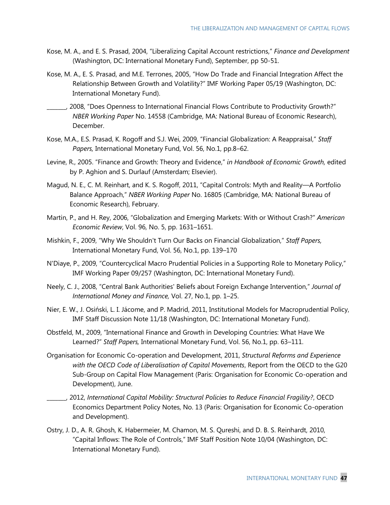- Kose, M. A., and E. S. Prasad, 2004, "Liberalizing Capital Account restrictions," Finance and Development (Washington, DC: International Monetary Fund), September, pp 50-51.
- Kose, M. A., E. S. Prasad, and M.E. Terrones, 2005, "How Do Trade and Financial Integration Affect the Relationship Between Growth and Volatility?" IMF Working Paper 05/19 (Washington, DC: International Monetary Fund).
- \_\_\_\_\_\_\_, 2008, ―Does Openness to International Financial Flows Contribute to Productivity Growth?‖ *NBER Working Paper* No. 14558 (Cambridge, MA: National Bureau of Economic Research), December.
- Kose, M.A., E.S. Prasad, K. Rogoff and S.J. Wei, 2009, "Financial Globalization: A Reappraisal," Staff *Papers,* International Monetary Fund, Vol. 56, No.1, pp.8–62.
- Levine, R., 2005. "Finance and Growth: Theory and Evidence," in Handbook of Economic Growth, edited by P. Aghion and S. Durlauf (Amsterdam; Elsevier).
- Magud, N. E., C. M. Reinhart, and K. S. Rogoff, 2011, "Capital Controls: Myth and Reality—A Portfolio Balance Approach,‖ *NBER Working Paper* No. 16805 (Cambridge, MA: National Bureau of Economic Research), February.
- Martin, P., and H. Rey, 2006, "Globalization and Emerging Markets: With or Without Crash?" American *Economic Review*, Vol. 96, No. 5, pp. 1631–1651.
- Mishkin, F., 2009, "Why We Shouldn't Turn Our Backs on Financial Globalization," Staff Papers, International Monetary Fund, Vol. 56, No.1, pp. 139–170
- N'Diaye, P., 2009, "Countercyclical Macro Prudential Policies in a Supporting Role to Monetary Policy," IMF Working Paper 09/257 (Washington, DC: International Monetary Fund).
- Neely, C. J., 2008, "Central Bank Authorities' Beliefs about Foreign Exchange Intervention," *Journal of International Money and Finance,* Vol. 27, No.1, pp. 1–25.
- Nier, E. W., J. Osiński, L. I. Jácome, and P. Madrid, 2011, Institutional Models for Macroprudential Policy, IMF Staff Discussion Note 11/18 (Washington, DC: International Monetary Fund).
- Obstfeld, M., 2009, "International Finance and Growth in Developing Countries: What Have We Learned?‖ *Staff Papers,* International Monetary Fund, Vol. 56, No.1, pp. 63–111.
- Organisation for Economic Co-operation and Development, 2011, *Structural Reforms and Experience with the OECD Code of Liberalisation of Capital Movements*, Report from the OECD to the G20 Sub-Group on Capital Flow Management (Paris: Organisation for Economic Co-operation and Development), June.
- \_\_\_\_\_\_\_, 2012, *International Capital Mobility: Structural Policies to Reduce Financial Fragility?*, OECD Economics Department Policy Notes, No. 13 (Paris: Organisation for Economic Co-operation and Development).
- Ostry, J. D., A. R. Ghosh, K. Habermeier, M. Chamon, M. S. Qureshi, and D. B. S. Reinhardt, 2010, "Capital Inflows: The Role of Controls," IMF Staff Position Note 10/04 (Washington, DC: International Monetary Fund).